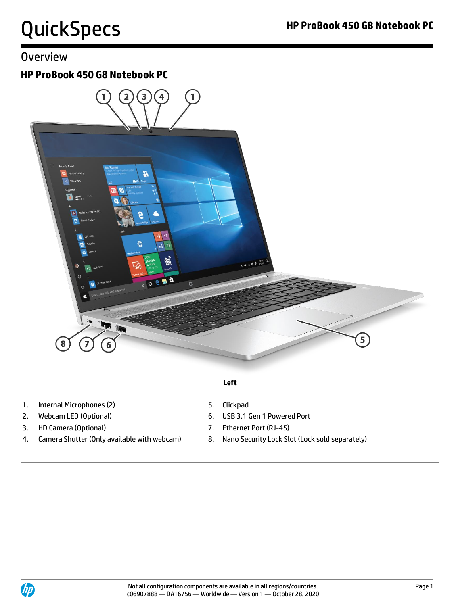# **Overview**

### **HP ProBook 450 G8 Notebook PC**



- **Left**
- 1. Internal Microphones (2) 5. Clickpad
- 
- 3. HD Camera (Optional) 7. Ethernet Port (RJ-45)
- 4. Camera Shutter (Only available with webcam) 8. Nano Security Lock Slot (Lock sold separately)
- 
- 2. Webcam LED (Optional) 6. USB 3.1 Gen 1 Powered Port
	-
	-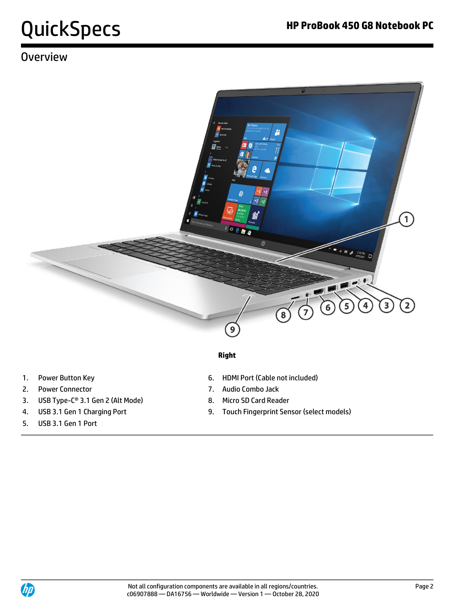# QuickSpecs **HP ProBook 450 G8 Notebook PC**

# **Overview**



### **Right**

- 
- 2. Power Connector 7. Audio Combo Jack
- 3. USB Type-C<sup>®</sup> 3.1 Gen 2 (Alt Mode) 8. Micro SD Card Reader
- 
- 5. USB 3.1 Gen 1 Port
- 1. Power Button Key **6. HDMI Port (Cable not included)** 
	-
	-
- 4. USB 3.1 Gen 1 Charging Port 9. Touch Fingerprint Sensor (select models)

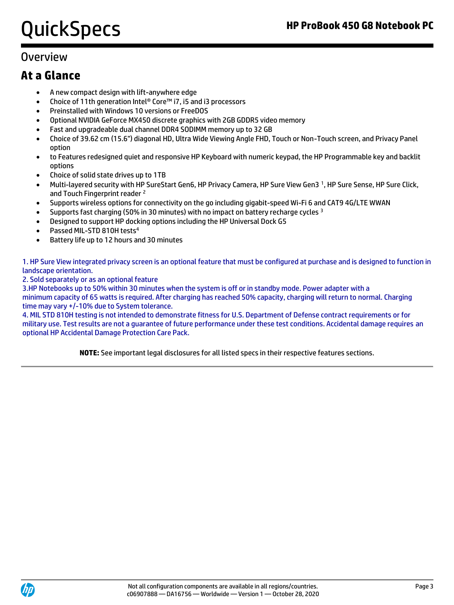# QuickSpecs **HP ProBook 450 G8 Notebook PC**

## **Overview**

## **At a Glance**

- A new compact design with lift-anywhere edge
- Choice of 11th generation Intel® Core™ i7, i5 and i3 processors
- Preinstalled with Windows 10 versions or FreeDOS
- Optional NVIDIA GeForce MX450 discrete graphics with 2GB GDDR5 video memory
- Fast and upgradeable dual channel DDR4 SODIMM memory up to 32 GB
- Choice of 39.62 cm (15.6") diagonal HD, Ultra Wide Viewing Angle FHD, Touch or Non-Touch screen, and Privacy Panel option
- to Features redesigned quiet and responsive HP Keyboard with numeric keypad, the HP Programmable key and backlit options
- Choice of solid state drives up to 1TB
- Multi-layered security with HP SureStart Gen6, HP Privacy Camera, HP Sure View Gen3 <sup>1</sup>, HP Sure Sense, HP Sure Click, and Touch Fingerprint reader <sup>2</sup>
- Supports wireless options for connectivity on the go including gigabit-speed Wi-Fi 6 and CAT9 4G/LTE WWAN
- Supports fast charging (50% in 30 minutes) with no impact on battery recharge cycles  $3$
- Designed to support HP docking options including the HP Universal Dock G5
- Passed MIL-STD 810H tests<sup>4</sup>
- Battery life up to 12 hours and 30 minutes

1. HP Sure View integrated privacy screen is an optional feature that must be configured at purchase and is designed to function in landscape orientation.

2. Sold separately or as an optional feature

3.HP Notebooks up to 50% within 30 minutes when the system is off or in standby mode. Power adapter with a minimum capacity of 65 watts is required. After charging has reached 50% capacity, charging will return to normal. Charging time may vary +/-10% due to System tolerance.

4. MIL STD 810H testing is not intended to demonstrate fitness for U.S. Department of Defense contract requirements or for military use. Test results are not a guarantee of future performance under these test conditions. Accidental damage requires an optional HP Accidental Damage Protection Care Pack.

**NOTE:** See important legal disclosures for all listed specs in their respective features sections.

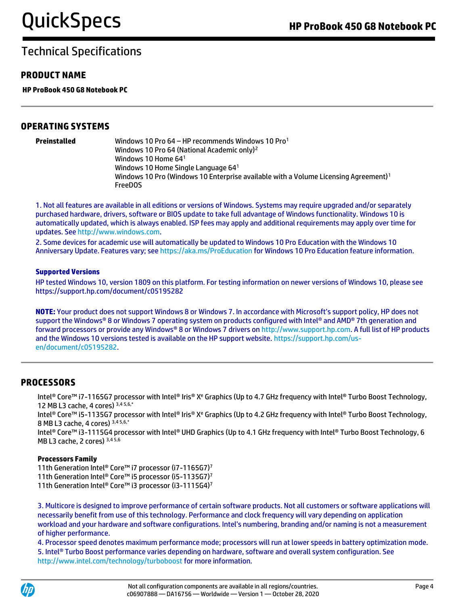### **PRODUCT NAME**

**HP ProBook 450 G8 Notebook PC**

### **OPERATING SYSTEMS**

| Preinstalled | Windows 10 Pro 64 – HP recommends Windows 10 Pro1                                               |
|--------------|-------------------------------------------------------------------------------------------------|
|              | Windows 10 Pro 64 (National Academic only) <sup>2</sup>                                         |
|              | Windows 10 Home $641$                                                                           |
|              | Windows 10 Home Single Language 641                                                             |
|              | Windows 10 Pro (Windows 10 Enterprise available with a Volume Licensing Agreement) <sup>1</sup> |
|              | <b>FreeDOS</b>                                                                                  |

1. Not all features are available in all editions or versions of Windows. Systems may require upgraded and/or separately purchased hardware, drivers, software or BIOS update to take full advantage of Windows functionality. Windows 10 is automatically updated, which is always enabled. ISP fees may apply and additional requirements may apply over time for updates. See [http://www.windows.com.](http://www.windows.com/)

2. Some devices for academic use will automatically be updated to Windows 10 Pro Education with the Windows 10 Anniversary Update. Features vary; se[e https://aka.ms/ProEducation](https://aka.ms/ProEducation) for Windows 10 Pro Education feature information.

#### **Supported Versions**

HP tested Windows 10, version 1809 on this platform. For testing information on newer versions of Windows 10, please see https://support.hp.com/document/c05195282

**NOTE:** Your product does not support Windows 8 or Windows 7. In accordance with Microsoft's support policy, HP does not support the Windows® 8 or Windows 7 operating system on products configured with Intel® and AMD® 7th generation and forward processors or provide any Windows® 8 or Windows 7 drivers o[n http://www.support.hp.com.](http://www.support.hp.com/) A full list of HP products and the Windows 10 versions tested is available on the HP support website[. https://support.hp.com/us](https://support.hp.com/us-en/document/c05195282)[en/document/c05195282.](https://support.hp.com/us-en/document/c05195282)

### **PROCESSORS**

Intel® Core™ i7-1165G7 processor with Intel® Iris® X<sup>e</sup> Graphics (Up to 4.7 GHz frequency with Intel® Turbo Boost Technology, 12 MB L3 cache, 4 cores) 3,4 5,6,\*

Intel® Core™ i5-1135G7 processor with Intel® Iris® X<sup>e</sup> Graphics (Up to 4.2 GHz frequency with Intel® Turbo Boost Technology, 8 MB L3 cache, 4 cores) 3,4 5,6,\*

Intel® Core™ i3-1115G4 processor with Intel® UHD Graphics (Up to 4.1 GHz frequency with Intel® Turbo Boost Technology, 6 MB L3 cache, 2 cores) 3,4 5,6

### **Processors Family**

11th Generation Intel® Core™ i7 processor (i7-1165G7)<sup>7</sup> 11th Generation Intel® Core™ i5 processor (i5-1135G7)<sup>7</sup> 11th Generation Intel® Core™ i3 processor (i3-1115G4)<sup>7</sup>

3. Multicore is designed to improve performance of certain software products. Not all customers or software applications will necessarily benefit from use of this technology. Performance and clock frequency will vary depending on application workload and your hardware and software configurations. Intel's numbering, branding and/or naming is not a measurement of higher performance.

4. Processor speed denotes maximum performance mode; processors will run at lower speeds in battery optimization mode. 5. Intel® Turbo Boost performance varies depending on hardware, software and overall system configuration. See http://www.intel.com/technology/turboboost for more information.

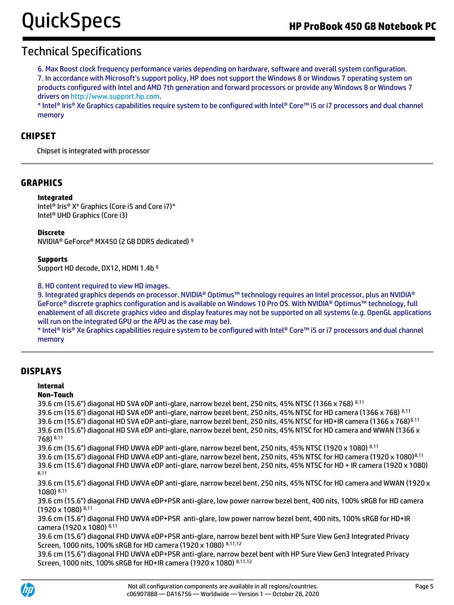6. Max Boost clock frequency performance varies depending on hardware, software and overall system configuration. 7. In accordance with Microsoft's support policy, HP does not support the Windows 8 or Windows 7 operating system on products configured with Intel and AMD 7th generation and forward processors or provide any Windows 8 or Windows 7 drivers o[n http://www.support.hp.com.](http://www.support.hp.com/)

\* Intel® Iris® Xe Graphics capabilities require system to be configured with Intel® Core™ i5 or i7 processors and dual channel memory

### **CHIPSET**

Chipset is integrated with processor

### **GRAPHICS**

#### **Integrated**

Intel® Iris® X<sup>e</sup> Graphics (Core i5 and Core i7)\* Intel® UHD Graphics (Core i3)

#### **Discrete**

NVIDIA® GeForce® MX450 (2 GB DDR5 dedicated) <sup>9</sup>

#### **Supports**

Support HD decode, DX12, HDMI 1.4b <sup>8</sup>

8. HD content required to view HD images.

9. Integrated graphics depends on processor. NVIDIA® Optimus™ technology requires an Intel processor, plus an NVIDIA® GeForce® discrete graphics configuration and is available on Windows 10 Pro OS. With NVIDIA® Optimus™ technology, full enablement of all discrete graphics video and display features may not be supported on all systems (e.g. OpenGL applications will run on the integrated GPU or the APU as the case may be).

\* Intel® Iris® Xe Graphics capabilities require system to be configured with Intel® Core™ i5 or i7 processors and dual channel memory

### **DISPLAYS**

#### **Internal**

### **Non-Touch**

39.6 cm (15.6") diagonal HD SVA eDP anti-glare, narrow bezel bent, 250 nits, 45% NTSC (1366 x 768) 8,11 39.6 cm (15.6") diagonal HD SVA eDP anti-glare, narrow bezel bent, 250 nits, 45% NTSC for HD camera (1366 x 768) 8,11 39.6 cm (15.6") diagonal HD SVA eDP anti-glare, narrow bezel bent, 250 nits, 45% NTSC for HD+IR camera (1366 x 768)8,11 39.6 cm (15.6") diagonal HD SVA eDP anti-glare, narrow bezel bent, 250 nits, 45% NTSC for HD camera and WWAN (1366 x 768) 8,11

39.6 cm (15.6") diagonal FHD UWVA eDP anti-glare, narrow bezel bent, 250 nits, 45% NTSC (1920 x 1080) 8,11

39.6 cm (15.6") diagonal FHD UWVA eDP anti-glare, narrow bezel bent, 250 nits, 45% NTSC for HD camera (1920 x 1080)8,11 39.6 cm (15.6") diagonal FHD UWVA eDP anti-glare, narrow bezel bent, 250 nits, 45% NTSC for HD + IR camera (1920 x 1080) 8,11

39.6 cm (15.6") diagonal FHD UWVA eDP anti-glare, narrow bezel bent, 250 nits, 45% NTSC for HD camera and WWAN (1920 x 1080) 8,11

39.6 cm (15.6") diagonal FHD UWVA eDP+PSR anti-glare, low power narrow bezel bent, 400 nits, 100% sRGB for HD camera (1920 x 1080) 8,11

39.6 cm (15.6") diagonal FHD UWVA eDP+PSR anti-glare, low power narrow bezel bent, 400 nits, 100% sRGB for HD+IR camera (1920 x 1080) 8,11

39.6 cm (15.6") diagonal FHD UWVA eDP+PSR anti-glare, narrow bezel bent with HP Sure View Gen3 Integrated Privacy Screen, 1000 nits, 100% sRGB for HD camera (1920 x 1080) 8,11,12

39.6 cm (15.6") diagonal FHD UWVA eDP+PSR anti-glare, narrow bezel bent with HP Sure View Gen3 Integrated Privacy Screen, 1000 nits, 100% sRGB for HD+IR camera (1920 x 1080) 8,11,12

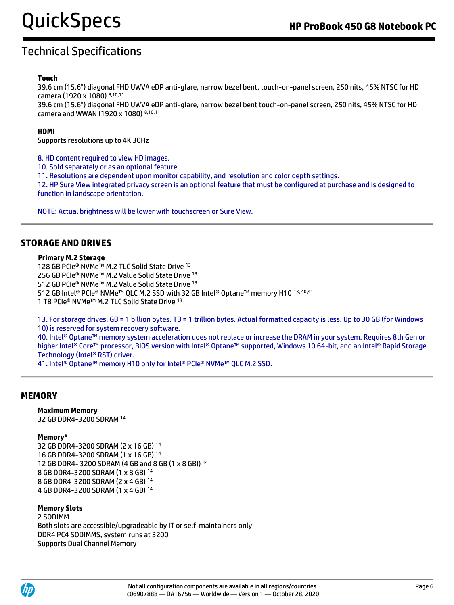### **Touch**

39.6 cm (15.6") diagonal FHD UWVA eDP anti-glare, narrow bezel bent, touch-on-panel screen, 250 nits, 45% NTSC for HD camera (1920 x 1080) 8,10,11

39.6 cm (15.6") diagonal FHD UWVA eDP anti-glare, narrow bezel bent touch-on-panel screen, 250 nits, 45% NTSC for HD camera and WWAN (1920 x 1080) 8,10,11

### **HDMI**

Supports resolutions up to 4K 30Hz

8. HD content required to view HD images.

10. Sold separately or as an optional feature.

11. Resolutions are dependent upon monitor capability, and resolution and color depth settings.

12. HP Sure View integrated privacy screen is an optional feature that must be configured at purchase and is designed to function in landscape orientation.

NOTE: Actual brightness will be lower with touchscreen or Sure View.

### **STORAGE AND DRIVES**

#### **Primary M.2 Storage**

128 GB PCIe® NVMe™ M.2 TLC Solid State Drive <sup>13</sup> 256 GB PCIe® NVMe™ M.2 Value Solid State Drive 13 512 GB PCIe® NVMe™ M.2 Value Solid State Drive <sup>13</sup> 512 GB Intel® PCIe® NVMe™ QLC M.2 SSD with 32 GB Intel® Optane™ memory H10 13, 40,41 1 TB PCIe® NVMe™ M.2 TLC Solid State Drive <sup>13</sup>

13. For storage drives, GB = 1 billion bytes. TB = 1 trillion bytes. Actual formatted capacity is less. Up to 30 GB (for Windows 10) is reserved for system recovery software.

40. Intel® Optane™ memory system acceleration does not replace or increase the DRAM in your system. Requires 8th Gen or higher Intel® Core™ processor, BIOS version with Intel® Optane™ supported, Windows 10 64-bit, and an Intel® Rapid Storage Technology (Intel® RST) driver.

41. Intel<sup>®</sup> Optane<sup>™</sup> memory H10 only for Intel<sup>®</sup> PCIe® NVMe™ QLC M.2 SSD.

### **MEMORY**

#### **Maximum Memory**

32 GB DDR4-3200 SDRAM <sup>14</sup>

#### **Memory\***

32 GB DDR4-3200 SDRAM (2 x 16 GB) <sup>14</sup> 16 GB DDR4-3200 SDRAM (1 x 16 GB) <sup>14</sup> 12 GB DDR4- 3200 SDRAM (4 GB and 8 GB (1 x 8 GB)) <sup>14</sup> 8 GB DDR4-3200 SDRAM (1 x 8 GB) <sup>14</sup> 8 GB DDR4-3200 SDRAM (2 x 4 GB) <sup>14</sup> 4 GB DDR4-3200 SDRAM (1 x 4 GB) <sup>14</sup>

#### **Memory Slots**

2 SODIMM Both slots are accessible/upgradeable by IT or self-maintainers only DDR4 PC4 SODIMMS, system runs at 3200 Supports Dual Channel Memory

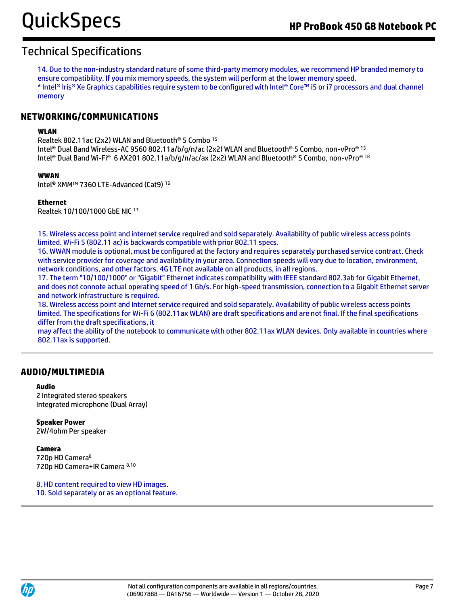14. Due to the non-industry standard nature of some third-party memory modules, we recommend HP branded memory to ensure compatibility. If you mix memory speeds, the system will perform at the lower memory speed. \* Intel® Iris® Xe Graphics capabilities require system to be configured with Intel® Core™ i5 or i7 processors and dual channel memory

### **NETWORKING/COMMUNICATIONS**

### **WLAN**

Realtek 802.11ac (2x2) WLAN and Bluetooth® 5 Combo <sup>15</sup> Intel® Dual Band Wireless-AC 9560 802.11a/b/g/n/ac (2x2) WLAN and Bluetooth® 5 Combo, non-vPro® 15 Intel® Dual Band Wi-Fi® 6 AX201 802.11a/b/g/n/ac/ax (2x2) WLAN and Bluetooth® 5 Combo, non-vPro® 18

#### **WWAN**

Intel® XMM™ 7360 LTE-Advanced (Cat9) <sup>16</sup>

#### **Ethernet**

Realtek 10/100/1000 GbE NIC <sup>17</sup>

15. Wireless access point and internet service required and sold separately. Availability of public wireless access points limited. Wi-Fi 5 (802.11 ac) is backwards compatible with prior 802.11 specs.

16. WWAN module is optional, must be configured at the factory and requires separately purchased service contract. Check with service provider for coverage and availability in your area. Connection speeds will vary due to location, environment, network conditions, and other factors. 4G LTE not available on all products, in all regions.

17. The term "10/100/1000" or "Gigabit" Ethernet indicates compatibility with IEEE standard 802.3ab for Gigabit Ethernet, and does not connote actual operating speed of 1 Gb/s. For high-speed transmission, connection to a Gigabit Ethernet server and network infrastructure is required.

18. Wireless access point and Internet service required and sold separately. Availability of public wireless access points limited. The specifications for Wi-Fi 6 (802.11ax WLAN) are draft specifications and are not final. If the final specifications differ from the draft specifications, it

may affect the ability of the notebook to communicate with other 802.11ax WLAN devices. Only available in countries where 802.11ax is supported.

### **AUDIO/MULTIMEDIA**

#### **Audio**

2 Integrated stereo speakers Integrated microphone (Dual Array)

**Speaker Power** 2W/4ohm Per speaker

**Camera**  720p HD Camera<sup>8</sup> 720p HD Camera+IR Camera 8,10

8. HD content required to view HD images. 10. Sold separately or as an optional feature.

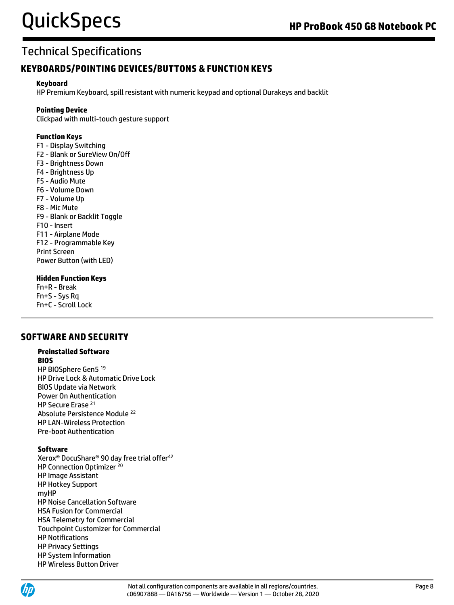### **KEYBOARDS/POINTING DEVICES/BUTTONS & FUNCTION KEYS**

### **Keyboard**

HP Premium Keyboard, spill resistant with numeric keypad and optional Durakeys and backlit

### **Pointing Device**

Clickpad with multi-touch gesture support

### **Function Keys**

F1 - Display Switching F2 - Blank or SureView On/Off F3 - Brightness Down F4 - Brightness Up F5 - Audio Mute F6 - Volume Down F7 - Volume Up F8 - Mic Mute F9 - Blank or Backlit Toggle F10 - Insert F11 - Airplane Mode F12 - Programmable Key Print Screen Power Button (with LED)

### **Hidden Function Keys**

Fn+R - Break Fn+S - Sys Rq Fn+C - Scroll Lock

### **SOFTWARE AND SECURITY**

### **Preinstalled Software**

**BIOS**  HP BIOSphere Gen5 <sup>19</sup> HP Drive Lock & Automatic Drive Lock BIOS Update via Network Power On Authentication HP Secure Erase <sup>21</sup> Absolute Persistence Module <sup>22</sup> HP LAN-Wireless Protection Pre-boot Authentication

### **Software**

Xerox® DocuShare® 90 day free trial offer<sup>42</sup> HP Connection Optimizer 20 HP Image Assistant HP Hotkey Support myHP HP Noise Cancellation Software HSA Fusion for Commercial HSA Telemetry for Commercial Touchpoint Customizer for Commercial HP Notifications HP Privacy Settings HP System Information HP Wireless Button Driver

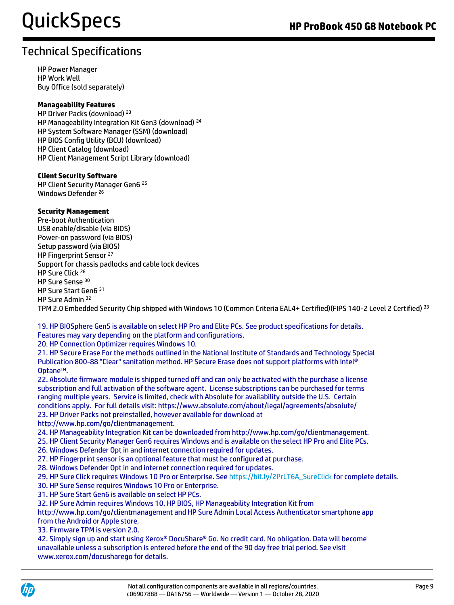HP Power Manager HP Work Well Buy Office (sold separately)

### **Manageability Features**

HP Driver Packs (download) <sup>23</sup> HP Manageability Integration Kit Gen3 (download) <sup>24</sup> HP System Software Manager (SSM) (download) HP BIOS Config Utility (BCU) (download) HP Client Catalog (download) HP Client Management Script Library (download)

#### **Client Security Software**

HP Client Security Manager Gen6 <sup>25</sup> Windows Defender<sup>26</sup>

#### **Security Management**

Pre-boot Authentication USB enable/disable (via BIOS) Power-on password (via BIOS) Setup password (via BIOS) HP Fingerprint Sensor<sup>27</sup> Support for chassis padlocks and cable lock devices HP Sure Click <sup>28</sup> HP Sure Sense <sup>30</sup> HP Sure Start Gen6 <sup>31</sup> HP Sure Admin <sup>32</sup>

TPM 2.0 Embedded Security Chip shipped with Windows 10 (Common Criteria EAL4+ Certified)(FIPS 140-2 Level 2 Certified) 33

19. HP BIOSphere Gen5 is available on select HP Pro and Elite PCs. See product specifications for details. Features may vary depending on the platform and configurations.

20. HP Connection Optimizer requires Windows 10.

21. HP Secure Erase For the methods outlined in the National Institute of Standards and Technology Special Publication 800-88 "Clear" sanitation method. HP Secure Erase does not support platforms with Intel® Optane™.

22. Absolute firmware module is shipped turned off and can only be activated with the purchase a license subscription and full activation of the software agent. License subscriptions can be purchased for terms ranging multiple years. Service is limited, check with Absolute for availability outside the U.S. Certain conditions apply. For full details visit: https://www.absolute.com/about/legal/agreements/absolute/ 23. HP Driver Packs not preinstalled, however available for download at

http://www.hp.com/go/clientmanagement.

24. HP Manageability Integration Kit can be downloaded from http://www.hp.com/go/clientmanagement.

25. HP Client Security Manager Gen6 requires Windows and is available on the select HP Pro and Elite PCs.

- 26. Windows Defender Opt in and internet connection required for updates.
- 27. HP Fingerprint sensor is an optional feature that must be configured at purchase.
- 28. Windows Defender Opt in and internet connection required for updates.

29. HP Sure Click requires Windows 10 Pro or Enterprise. See [https://bit.ly/2PrLT6A\\_SureClick](https://bit.ly/2PrLT6A_SureClick) for complete details.

- 30. HP Sure Sense requires Windows 10 Pro or Enterprise.
- 31. HP Sure Start Gen6 is available on select HP PCs.
- 32. HP Sure Admin requires Windows 10, HP BIOS, HP Manageability Integration Kit from

http://www.hp.com/go/clientmanagement and HP Sure Admin Local Access Authenticator smartphone app from the Android or Apple store.

33. Firmware TPM is version 2.0.

42. Simply sign up and start using Xerox® DocuShare® Go. No credit card. No obligation. Data will become unavailable unless a subscription is entered before the end of the 90 day free trial period. See visit www.xerox.com/docusharego for details.

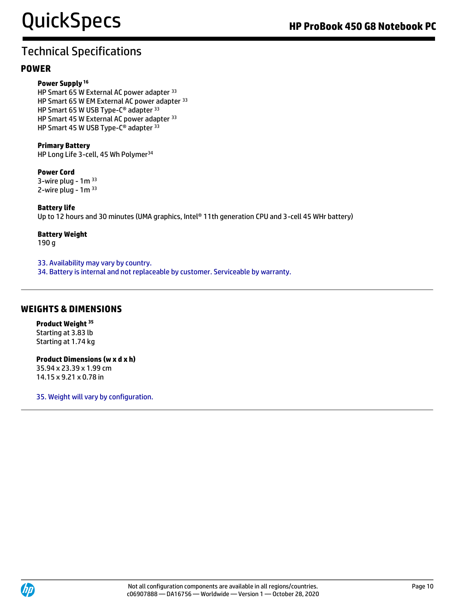### **POWER**

#### **Power Supply <sup>16</sup>**

HP Smart 65 W External AC power adapter 33 HP Smart 65 W EM External AC power adapter <sup>33</sup> HP Smart 65 W USB Type-C® adapter 33 HP Smart 45 W External AC power adapter 33 HP Smart 45 W USB Type-C® adapter 33

#### **Primary Battery**

HP Long Life 3-cell, 45 Wh Polymer<sup>34</sup>

**Power Cord**  3-wire plug -  $1<sup>m</sup>$  33 2-wire plug -  $1m<sup>33</sup>$ 

#### **Battery life**

Up to 12 hours and 30 minutes (UMA graphics, Intel® 11th generation CPU and 3-cell 45 WHr battery)

#### **Battery Weight**

190 g

33. Availability may vary by country.

34. Battery is internal and not replaceable by customer. Serviceable by warranty.

### **WEIGHTS & DIMENSIONS**

**Product Weight <sup>35</sup>** Starting at 3.83 lb Starting at 1.74 kg

#### **Product Dimensions (w x d x h)**

35.94 x 23.39 x 1.99 cm 14.15 x 9.21 x 0.78 in

35. Weight will vary by configuration.

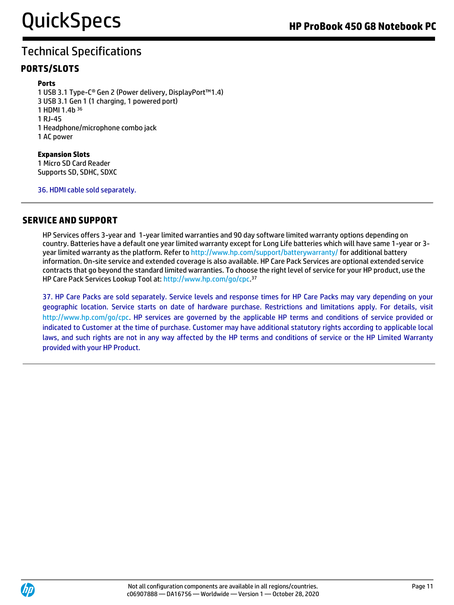### **PORTS/SLOTS**

### **Ports**

1 USB 3.1 Type-C® Gen 2 (Power delivery, DisplayPort™1.4) 3 USB 3.1 Gen 1 (1 charging, 1 powered port) 1 HDMI 1.4b <sup>36</sup> 1 RJ-45 1 Headphone/microphone combo jack 1 AC power

#### **Expansion Slots**  1 Micro SD Card Reader Supports SD, SDHC, SDXC

36. HDMI cable sold separately.

### **SERVICE AND SUPPORT**

HP Services offers 3-year and 1-year limited warranties and 90 day software limited warranty options depending on country. Batteries have a default one year limited warranty except for Long Life batteries which will have same 1-year or 3 year limited warranty as the platform. Refer to<http://www.hp.com/support/batterywarranty/> for additional battery information. On-site service and extended coverage is also available. HP Care Pack Services are optional extended service contracts that go beyond the standard limited warranties. To choose the right level of service for your HP product, use the HP Care Pack Services Lookup Tool at: [http://www.hp.com/go/cpc.](http://www.hp.com/go/cpc) 37

37. HP Care Packs are sold separately. Service levels and response times for HP Care Packs may vary depending on your geographic location. Service starts on date of hardware purchase. Restrictions and limitations apply. For details, visit http://www.hp.com/go/cpc. HP services are governed by the applicable HP terms and conditions of service provided or indicated to Customer at the time of purchase. Customer may have additional statutory rights according to applicable local laws, and such rights are not in any way affected by the HP terms and conditions of service or the HP Limited Warranty provided with your HP Product.

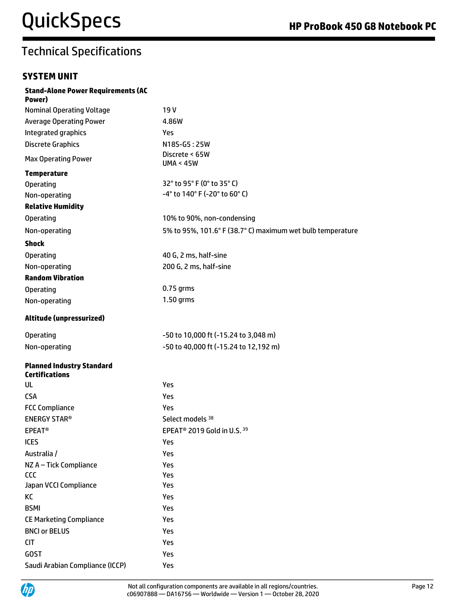### **SYSTEM UNIT**

| <b>Stand-Alone Power Requirements (AC</b><br>Power)       |                                                            |
|-----------------------------------------------------------|------------------------------------------------------------|
| <b>Nominal Operating Voltage</b>                          | 19V                                                        |
| <b>Average Operating Power</b>                            | 4.86W                                                      |
| Integrated graphics                                       | Yes                                                        |
| <b>Discrete Graphics</b>                                  | N18S-G5:25W                                                |
| <b>Max Operating Power</b>                                | Discrete < 65W<br><b>UMA &lt; 45W</b>                      |
| <b>Temperature</b>                                        |                                                            |
| Operating                                                 | 32° to 95° F (0° to 35° C)                                 |
| Non-operating                                             | -4° to 140° F (-20° to 60° C)                              |
| <b>Relative Humidity</b>                                  |                                                            |
| <b>Operating</b>                                          | 10% to 90%, non-condensing                                 |
| Non-operating                                             | 5% to 95%, 101.6° F (38.7° C) maximum wet bulb temperature |
| <b>Shock</b>                                              |                                                            |
| <b>Operating</b>                                          | 40 G, 2 ms, half-sine                                      |
| Non-operating                                             | 200 G, 2 ms, half-sine                                     |
| <b>Random Vibration</b>                                   |                                                            |
| <b>Operating</b>                                          | $0.75$ grms                                                |
| Non-operating                                             | 1.50 grms                                                  |
| Altitude (unpressurized)                                  |                                                            |
| Operating                                                 | -50 to 10,000 ft (-15.24 to 3,048 m)                       |
| Non-operating                                             | -50 to 40,000 ft (-15.24 to 12,192 m)                      |
| <b>Planned Industry Standard</b><br><b>Certifications</b> |                                                            |
| UL                                                        | Yes                                                        |
| <b>CSA</b>                                                | Yes                                                        |
| <b>FCC Compliance</b>                                     | Yes                                                        |
| <b>ENERGY STAR®</b>                                       | Select models 38                                           |
| <b>EPEAT<sup>®</sup></b>                                  | EPEAT <sup>®</sup> 2019 Gold in U.S. 39                    |
| <b>ICES</b>                                               | Yes                                                        |
| Australia /                                               | Yes                                                        |
| NZ A - Tick Compliance                                    | Yes                                                        |
| <b>CCC</b>                                                | Yes                                                        |
| Japan VCCI Compliance                                     | Yes                                                        |
| KC                                                        | Yes                                                        |
| <b>BSMI</b>                                               | Yes                                                        |
| <b>CE Marketing Compliance</b>                            | Yes                                                        |
| <b>BNCI or BELUS</b>                                      | Yes                                                        |
| <b>CIT</b>                                                | Yes                                                        |
| <b>GOST</b>                                               | Yes                                                        |
| Saudi Arabian Compliance (ICCP)                           | Yes                                                        |

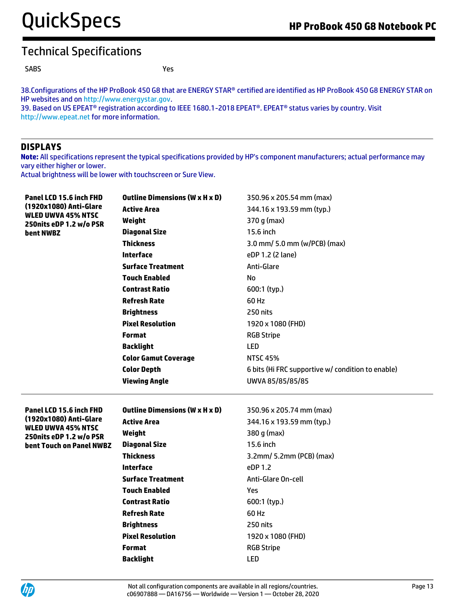SABS Yes

38.Configurations of the HP ProBook 450 G8 that are ENERGY STAR® certified are identified as HP ProBook 450 G8 ENERGY STAR on HP websites and o[n http://www.energystar.gov.](http://www.energystar.gov/) 39. Based on US EPEAT® registration according to IEEE 1680.1-2018 EPEAT®. EPEAT® status varies by country. Visit

http://www.epeat.net for more information.

### **DISPLAYS**

**Note:** All specifications represent the typical specifications provided by HP's component manufacturers; actual performance may vary either higher or lower.

Actual brightness will be lower with touchscreen or Sure View.

| Panel LCD 15.6 inch FHD<br>(1920x1080) Anti-Glare<br><b>WLED UWVA 45% NTSC</b> | <b>Outline Dimensions (W x H x D)</b> | 350.96 x 205.54 mm (max)                          |
|--------------------------------------------------------------------------------|---------------------------------------|---------------------------------------------------|
|                                                                                | <b>Active Area</b>                    | 344.16 x 193.59 mm (typ.)                         |
| 250nits eDP 1.2 w/o PSR                                                        | Weight                                | 370 g (max)                                       |
| bent NWBZ                                                                      | <b>Diagonal Size</b>                  | 15.6 inch                                         |
|                                                                                | <b>Thickness</b>                      | 3.0 mm/ 5.0 mm (w/PCB) (max)                      |
|                                                                                | <b>Interface</b>                      | eDP 1.2 (2 lane)                                  |
|                                                                                | <b>Surface Treatment</b>              | Anti-Glare                                        |
|                                                                                | <b>Touch Enabled</b>                  | No                                                |
|                                                                                | Contrast Ratio                        | 600:1 (typ.)                                      |
|                                                                                | <b>Refresh Rate</b>                   | 60 Hz                                             |
|                                                                                | <b>Brightness</b>                     | 250 nits                                          |
|                                                                                | <b>Pixel Resolution</b>               | 1920 x 1080 (FHD)                                 |
|                                                                                | <b>Format</b>                         | <b>RGB Stripe</b>                                 |
|                                                                                | <b>Backlight</b>                      | <b>LED</b>                                        |
|                                                                                | <b>Color Gamut Coverage</b>           | <b>NTSC 45%</b>                                   |
|                                                                                | <b>Color Depth</b>                    | 6 bits (Hi FRC supportive w/ condition to enable) |
|                                                                                | <b>Viewing Angle</b>                  | UWVA 85/85/85/85                                  |
|                                                                                |                                       |                                                   |
| Panel LCD 15.6 inch FHD                                                        | <b>Outline Dimensions (W x H x D)</b> | 350.96 x 205.74 mm (max)                          |
| (1920x1080) Anti-Glare<br><b>WLED UWVA 45% NTSC</b>                            | <b>Active Area</b>                    | 344.16 x 193.59 mm (typ.)                         |
| 250nits eDP 1.2 w/o PSR                                                        | Weight                                | 380 q (max)                                       |
| bent Touch on Panel NWBZ                                                       | <b>Diagonal Size</b>                  | 15.6 inch                                         |
|                                                                                | <b>Thickness</b>                      | 3.2mm/ 5.2mm (PCB) (max)                          |
|                                                                                | <b>Interface</b>                      | eDP 1.2                                           |
|                                                                                | <b>Surface Treatment</b>              | Anti-Glare On-cell                                |
|                                                                                | <b>Touch Enabled</b>                  | Yes                                               |
|                                                                                |                                       |                                                   |
|                                                                                | Contrast Ratio                        | 600:1 (typ.)                                      |
|                                                                                | <b>Refresh Rate</b>                   | 60 Hz                                             |
|                                                                                | <b>Brightness</b>                     | 250 nits                                          |
|                                                                                | <b>Pixel Resolution</b>               | 1920 x 1080 (FHD)                                 |
|                                                                                | <b>Format</b>                         | <b>RGB Stripe</b>                                 |
|                                                                                | <b>Backlight</b>                      | <b>LED</b>                                        |

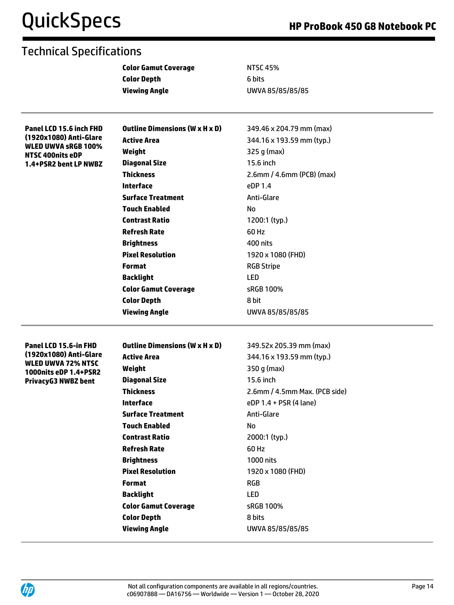| <b>Color Depth</b><br>6 bits<br><b>Viewing Angle</b><br>UWVA 85/85/85/85<br><b>Outline Dimensions (W x H x D)</b><br>349.46 x 204.79 mm (max)<br>Panel LCD 15.6 inch FHD<br>(1920x1080) Anti-Glare<br><b>Active Area</b><br>344.16 x 193.59 mm (typ.)<br><b>WLED UWVA SRGB 100%</b><br>325 g (max)<br>Weight<br>NTSC 400nits eDP<br><b>Diagonal Size</b><br>15.6 inch<br>1.4+PSR2 bent LP NWBZ<br><b>Thickness</b><br>2.6mm / 4.6mm (PCB) (max)<br><b>Interface</b><br>eDP 1.4 | <b>Color Gamut Coverage</b> |
|--------------------------------------------------------------------------------------------------------------------------------------------------------------------------------------------------------------------------------------------------------------------------------------------------------------------------------------------------------------------------------------------------------------------------------------------------------------------------------|-----------------------------|
|                                                                                                                                                                                                                                                                                                                                                                                                                                                                                |                             |
|                                                                                                                                                                                                                                                                                                                                                                                                                                                                                |                             |
|                                                                                                                                                                                                                                                                                                                                                                                                                                                                                |                             |
|                                                                                                                                                                                                                                                                                                                                                                                                                                                                                |                             |
|                                                                                                                                                                                                                                                                                                                                                                                                                                                                                |                             |
|                                                                                                                                                                                                                                                                                                                                                                                                                                                                                |                             |
|                                                                                                                                                                                                                                                                                                                                                                                                                                                                                |                             |
|                                                                                                                                                                                                                                                                                                                                                                                                                                                                                |                             |
|                                                                                                                                                                                                                                                                                                                                                                                                                                                                                |                             |
| <b>Surface Treatment</b><br>Anti-Glare                                                                                                                                                                                                                                                                                                                                                                                                                                         |                             |
| <b>Touch Enabled</b><br>No                                                                                                                                                                                                                                                                                                                                                                                                                                                     |                             |
| <b>Contrast Ratio</b><br>1200:1 (typ.)                                                                                                                                                                                                                                                                                                                                                                                                                                         |                             |
| <b>Refresh Rate</b><br>60 Hz                                                                                                                                                                                                                                                                                                                                                                                                                                                   |                             |
| <b>Brightness</b><br>400 nits                                                                                                                                                                                                                                                                                                                                                                                                                                                  |                             |
| <b>Pixel Resolution</b><br>1920 x 1080 (FHD)                                                                                                                                                                                                                                                                                                                                                                                                                                   |                             |
| <b>Format</b><br><b>RGB Stripe</b>                                                                                                                                                                                                                                                                                                                                                                                                                                             |                             |
| <b>LED</b><br><b>Backlight</b>                                                                                                                                                                                                                                                                                                                                                                                                                                                 |                             |
| <b>Color Gamut Coverage</b><br>sRGB 100%                                                                                                                                                                                                                                                                                                                                                                                                                                       |                             |
| <b>Color Depth</b><br>8 bit                                                                                                                                                                                                                                                                                                                                                                                                                                                    |                             |
| <b>Viewing Angle</b><br>UWVA 85/85/85/85                                                                                                                                                                                                                                                                                                                                                                                                                                       |                             |
|                                                                                                                                                                                                                                                                                                                                                                                                                                                                                |                             |
| <b>Outline Dimensions (W x H x D)</b><br>349.52x 205.39 mm (max)<br>Panel LCD 15.6-in FHD<br>(1920x1080) Anti-Glare                                                                                                                                                                                                                                                                                                                                                            |                             |
| 344.16 x 193.59 mm (typ.)<br><b>Active Area</b><br><b>WLED UWVA 72% NTSC</b>                                                                                                                                                                                                                                                                                                                                                                                                   |                             |
| Weight<br>350 g (max)<br>1000nits eDP 1.4+PSR2                                                                                                                                                                                                                                                                                                                                                                                                                                 |                             |
| <b>Diagonal Size</b><br>15.6 inch<br><b>PrivacyG3 NWBZ bent</b>                                                                                                                                                                                                                                                                                                                                                                                                                |                             |
| <b>Thickness</b><br>2.6mm / 4.5mm Max. (PCB side)                                                                                                                                                                                                                                                                                                                                                                                                                              |                             |
| <b>Interface</b><br>eDP 1.4 + PSR (4 lane)                                                                                                                                                                                                                                                                                                                                                                                                                                     |                             |
| <b>Surface Treatment</b><br>Anti-Glare                                                                                                                                                                                                                                                                                                                                                                                                                                         |                             |
| <b>Touch Enabled</b><br>No                                                                                                                                                                                                                                                                                                                                                                                                                                                     |                             |
| <b>Contrast Ratio</b><br>2000:1 (typ.)                                                                                                                                                                                                                                                                                                                                                                                                                                         |                             |
| <b>Refresh Rate</b><br>60 Hz                                                                                                                                                                                                                                                                                                                                                                                                                                                   |                             |
| <b>Brightness</b><br>1000 nits                                                                                                                                                                                                                                                                                                                                                                                                                                                 |                             |
| <b>Pixel Resolution</b><br>1920 x 1080 (FHD)                                                                                                                                                                                                                                                                                                                                                                                                                                   |                             |
| <b>Format</b><br><b>RGB</b>                                                                                                                                                                                                                                                                                                                                                                                                                                                    |                             |
| <b>Backlight</b><br>LED                                                                                                                                                                                                                                                                                                                                                                                                                                                        |                             |
| <b>Color Gamut Coverage</b><br>sRGB 100%                                                                                                                                                                                                                                                                                                                                                                                                                                       |                             |
| <b>Color Depth</b><br>8 bits                                                                                                                                                                                                                                                                                                                                                                                                                                                   |                             |
| <b>Viewing Angle</b><br>UWVA 85/85/85/85                                                                                                                                                                                                                                                                                                                                                                                                                                       |                             |

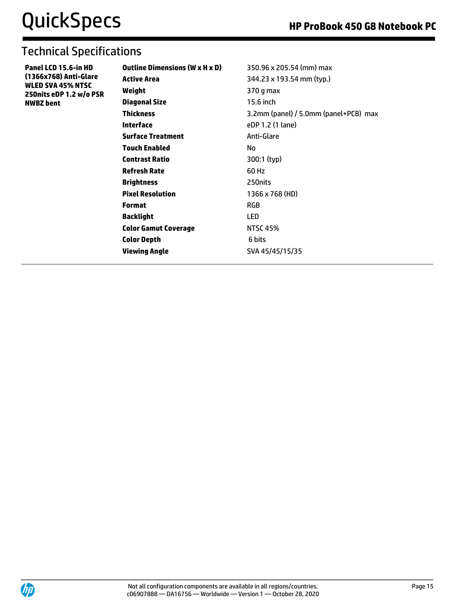| Panel LCD 15.6-in HD     |
|--------------------------|
| (1366x768) Anti-Glare    |
| <b>WLED SVA 45% NTSC</b> |
| 250nits eDP 1.2 w/o PSR  |
| <b>NWBZ</b> bent         |

| <b>Outline Dimensions (W x H x D)</b> | 350.96 x 205.54 (mm) max              |
|---------------------------------------|---------------------------------------|
| <b>Active Area</b>                    | 344.23 x 193.54 mm (typ.)             |
| Weight                                | 370 g max                             |
| <b>Diagonal Size</b>                  | 15.6 inch                             |
| <b>Thickness</b>                      | 3.2mm (panel) / 5.0mm (panel+PCB) max |
| Interface                             | eDP 1.2 (1 lane)                      |
| <b>Surface Treatment</b>              | Anti-Glare                            |
| <b>Touch Enabled</b>                  | No                                    |
| <b>Contrast Ratio</b>                 | 300:1 (typ)                           |
| <b>Refresh Rate</b>                   | 60 Hz                                 |
| <b>Brightness</b>                     | 250nits                               |
| <b>Pixel Resolution</b>               | 1366 x 768 (HD)                       |
| <b>Format</b>                         | <b>RGB</b>                            |
| <b>Backlight</b>                      | LED                                   |
| <b>Color Gamut Coverage</b>           | <b>NTSC 45%</b>                       |
| <b>Color Depth</b>                    | 6 bits                                |
| <b>Viewing Angle</b>                  | SVA 45/45/15/35                       |

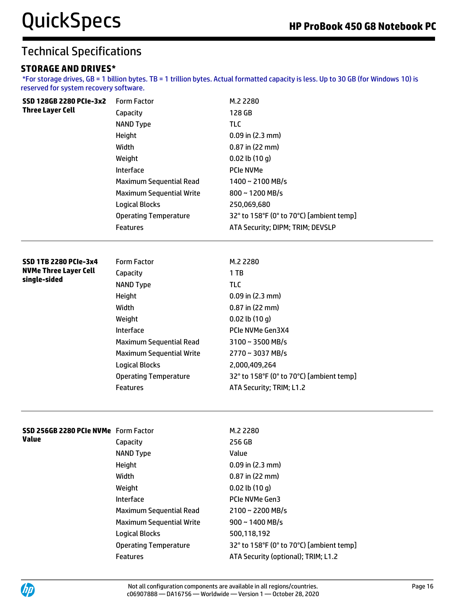### **STORAGE AND DRIVES\***

\*For storage drives, GB = 1 billion bytes. TB = 1 trillion bytes. Actual formatted capacity is less. Up to 30 GB (for Windows 10) is reserved for system recovery software.

| SSD 128GB 2280 PCIe-3x2              | <b>Form Factor</b>              | M.2 2280                                 |
|--------------------------------------|---------------------------------|------------------------------------------|
| <b>Three Layer Cell</b>              | Capacity                        | 128 GB                                   |
|                                      | <b>NAND Type</b>                | <b>TLC</b>                               |
|                                      | Height                          | $0.09$ in $(2.3$ mm)                     |
|                                      | Width                           | $0.87$ in (22 mm)                        |
|                                      | Weight                          | $0.02$ lb $(10 g)$                       |
|                                      | Interface                       | PCIe NVMe                                |
|                                      | Maximum Sequential Read         | 1400~2100 MB/s                           |
|                                      | <b>Maximum Sequential Write</b> | 800~1200 MB/s                            |
|                                      | <b>Logical Blocks</b>           | 250,069,680                              |
|                                      | <b>Operating Temperature</b>    | 32° to 158°F (0° to 70°C) [ambient temp] |
|                                      | <b>Features</b>                 | ATA Security; DIPM; TRIM; DEVSLP         |
| <b>SSD 1TB 2280 PCIe-3x4</b>         | <b>Form Factor</b>              | M.2 2280                                 |
| <b>NVMe Three Layer Cell</b>         | Capacity                        | 1TB                                      |
| single-sided                         | <b>NAND Type</b>                | <b>TLC</b>                               |
|                                      | Height                          | $0.09$ in $(2.3$ mm)                     |
|                                      | Width                           | $0.87$ in (22 mm)                        |
|                                      | Weight                          | $0.02$ lb $(10q)$                        |
|                                      | Interface                       | PCIe NVMe Gen3X4                         |
|                                      | Maximum Sequential Read         | $3100 \sim 3500 \text{ MB/s}$            |
|                                      | <b>Maximum Sequential Write</b> | 2770~3037 MB/s                           |
|                                      | <b>Logical Blocks</b>           | 2,000,409,264                            |
|                                      | <b>Operating Temperature</b>    | 32° to 158°F (0° to 70°C) [ambient temp] |
|                                      | <b>Features</b>                 | ATA Security; TRIM; L1.2                 |
|                                      |                                 |                                          |
| SSD 256GB 2280 PCIe NVMe Form Factor |                                 | M.2 2280                                 |
| Value                                | Capacity                        | 256 GB                                   |
|                                      | <b>NAND Type</b>                | Value                                    |
|                                      | Height                          | $0.09$ in (2.3 mm)                       |
|                                      | Width                           | 0.87 in (22 mm)                          |
|                                      | Weight                          | $0.02$ lb $(10 g)$                       |
|                                      | Interface                       | PCIe NVMe Gen3                           |
|                                      | Maximum Sequential Read         | 2100~2200 MB/s                           |
|                                      | <b>Maximum Sequential Write</b> | 900~1400 MB/s                            |
|                                      | <b>Logical Blocks</b>           | 500,118,192                              |
|                                      | <b>Operating Temperature</b>    | 32° to 158°F (0° to 70°C) [ambient temp] |
|                                      | Features                        | ATA Security (optional); TRIM; L1.2      |

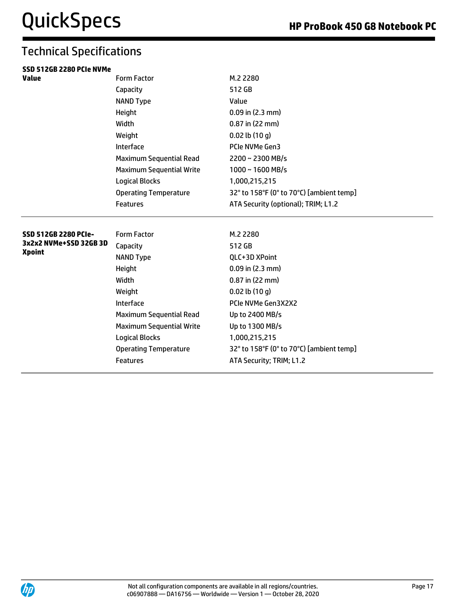| SSD 512GB 2280 PCIe NVMe                |                                 |                                          |  |
|-----------------------------------------|---------------------------------|------------------------------------------|--|
| <b>Value</b>                            | <b>Form Factor</b>              | M.2 2280                                 |  |
|                                         | Capacity                        | 512 GB                                   |  |
|                                         | <b>NAND Type</b>                | Value                                    |  |
|                                         | Height                          | $0.09$ in $(2.3$ mm)                     |  |
|                                         | Width                           | 0.87 in (22 mm)                          |  |
|                                         | Weight                          | $0.02$ lb $(10q)$                        |  |
|                                         | Interface                       | PCIe NVMe Gen3                           |  |
|                                         | <b>Maximum Sequential Read</b>  | 2200~2300 MB/s                           |  |
|                                         | <b>Maximum Sequential Write</b> | $1000 \sim 1600 \text{ MB/s}$            |  |
|                                         | <b>Logical Blocks</b>           | 1,000,215,215                            |  |
|                                         | <b>Operating Temperature</b>    | 32° to 158°F (0° to 70°C) [ambient temp] |  |
|                                         | <b>Features</b>                 | ATA Security (optional); TRIM; L1.2      |  |
|                                         |                                 |                                          |  |
| SSD 512GB 2280 PCIe-                    | <b>Form Factor</b>              | M.2 2280                                 |  |
| 3x2x2 NVMe+SSD 32GB 3D<br><b>Xpoint</b> | Capacity                        | 512 GB                                   |  |
|                                         | <b>NAND Type</b>                | QLC+3D XPoint                            |  |
|                                         | Height                          | $0.09$ in $(2.3$ mm)                     |  |
|                                         | Width                           | 0.87 in (22 mm)                          |  |
|                                         | Weight                          | $0.02$ lb $(10q)$                        |  |
|                                         | Interface                       | PCIe NVMe Gen3X2X2                       |  |
|                                         | <b>Maximum Sequential Read</b>  | Up to 2400 MB/s                          |  |
|                                         | <b>Maximum Sequential Write</b> | Up to 1300 MB/s                          |  |
|                                         | <b>Logical Blocks</b>           | 1,000,215,215                            |  |
|                                         | <b>Operating Temperature</b>    | 32° to 158°F (0° to 70°C) [ambient temp] |  |
|                                         | Features                        | ATA Security; TRIM; L1.2                 |  |
|                                         |                                 |                                          |  |



 $\equiv$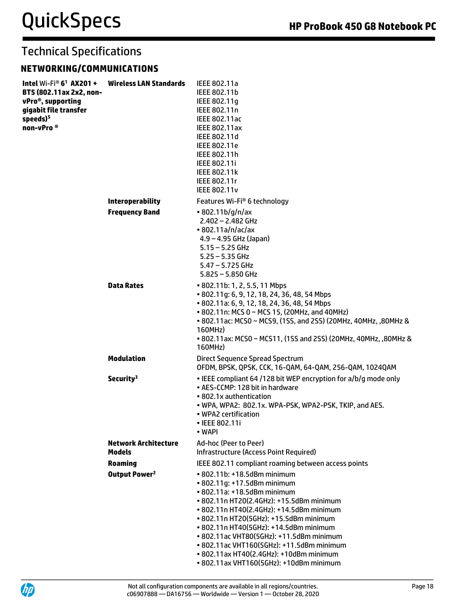### **NETWORKING/COMMUNICATIONS**

| Intel Wi-Fi® $6^1$ AX201 +<br>BT5 (802.11ax 2x2, non-<br>vPro®, supporting<br>gigabit file transfer<br>speeds) <sup>5</sup><br>non-vPro <sup>®</sup> | <b>Wireless LAN Standards</b>                | IEEE 802.11a<br>IEEE 802.11b<br>IEEE 802.11q<br>IEEE 802.11n<br><b>IEEE 802.11ac</b><br><b>IEEE 802.11ax</b><br>IEEE 802.11d<br>IEEE 802.11e<br>IEEE 802.11h<br>IEEE 802.11i<br><b>IEEE 802.11k</b><br>IEEE 802.11r<br><b>IEEE 802.11v</b>                                                                                                                                                                                                           |
|------------------------------------------------------------------------------------------------------------------------------------------------------|----------------------------------------------|------------------------------------------------------------------------------------------------------------------------------------------------------------------------------------------------------------------------------------------------------------------------------------------------------------------------------------------------------------------------------------------------------------------------------------------------------|
|                                                                                                                                                      | <b>Interoperability</b>                      | Features Wi-Fi <sup>®</sup> 6 technology                                                                                                                                                                                                                                                                                                                                                                                                             |
|                                                                                                                                                      | <b>Frequency Band</b>                        | •802.11b/g/n/ax<br>2.402 - 2.482 GHz<br>• 802.11a/n/ac/ax<br>$4.9 - 4.95$ GHz (Japan)<br>$5.15 - 5.25$ GHz<br>$5.25 - 5.35$ GHz<br>$5.47 - 5.725$ GHz<br>$5.825 - 5.850$ GHz                                                                                                                                                                                                                                                                         |
|                                                                                                                                                      | <b>Data Rates</b>                            | • 802.11b: 1, 2, 5.5, 11 Mbps<br>• 802.11g: 6, 9, 12, 18, 24, 36, 48, 54 Mbps<br>• 802.11a: 6, 9, 12, 18, 24, 36, 48, 54 Mbps<br>• 802.11n: MCS 0 ~ MCS 15, (20MHz, and 40MHz)<br>• 802.11ac: MCS0 ~ MCS9, (1SS, and 2SS) (20MHz, 40MHz, ,80MHz &<br>160MHz)<br>• 802.11ax: MCS0 ~ MCS11, (1SS and 2SS) (20MHz, 40MHz, ,80MHz &<br>160MHz)                                                                                                           |
|                                                                                                                                                      | <b>Modulation</b>                            | Direct Sequence Spread Spectrum<br>OFDM, BPSK, QPSK, CCK, 16-QAM, 64-QAM, 256-QAM, 1024QAM                                                                                                                                                                                                                                                                                                                                                           |
|                                                                                                                                                      | Security <sup>3</sup>                        | • IEEE compliant 64 /128 bit WEP encryption for a/b/g mode only<br>• AES-CCMP: 128 bit in hardware<br>• 802.1x authentication<br>• WPA, WPA2: 802.1x. WPA-PSK, WPA2-PSK, TKIP, and AES.<br>• WPA2 certification<br>• IEEE 802.11i<br>• WAPI                                                                                                                                                                                                          |
|                                                                                                                                                      | <b>Network Architecture</b><br><b>Models</b> | Ad-hoc (Peer to Peer)<br><b>Infrastructure (Access Point Required)</b>                                                                                                                                                                                                                                                                                                                                                                               |
|                                                                                                                                                      | <b>Roaming</b>                               | IEEE 802.11 compliant roaming between access points                                                                                                                                                                                                                                                                                                                                                                                                  |
|                                                                                                                                                      | Output Power <sup>2</sup>                    | • 802.11b: +18.5dBm minimum<br>• 802.11q: +17.5dBm minimum<br>• 802.11a: +18.5dBm minimum<br>• 802.11n HT20(2.4GHz): +15.5dBm minimum<br>• 802.11n HT40(2.4GHz): +14.5dBm minimum<br>• 802.11n HT20(5GHz): +15.5dBm minimum<br>• 802.11n HT40(5GHz): +14.5dBm minimum<br>• 802.11ac VHT80(5GHz): +11.5dBm minimum<br>• 802.11ac VHT160(5GHz): +11.5dBm minimum<br>• 802.11ax HT40(2.4GHz): +10dBm minimum<br>• 802.11ax VHT160(5GHz): +10dBm minimum |

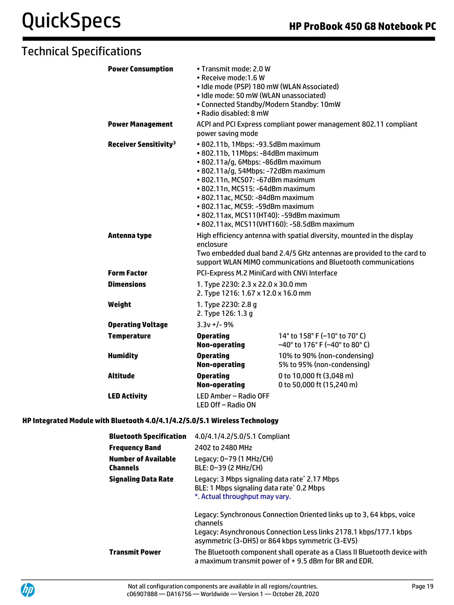| <b>Power Consumption</b>                | • Transmit mode: 2.0 W<br>· Receive mode:1.6 W<br>· Idle mode (PSP) 180 mW (WLAN Associated)<br>· Idle mode: 50 mW (WLAN unassociated)<br>• Connected Standby/Modern Standby: 10mW<br>• Radio disabled: 8 mW                                                                                                                                    |                                                                                                                                                                                                                  |
|-----------------------------------------|-------------------------------------------------------------------------------------------------------------------------------------------------------------------------------------------------------------------------------------------------------------------------------------------------------------------------------------------------|------------------------------------------------------------------------------------------------------------------------------------------------------------------------------------------------------------------|
| <b>Power Management</b>                 | power saving mode                                                                                                                                                                                                                                                                                                                               | ACPI and PCI Express compliant power management 802.11 compliant                                                                                                                                                 |
| <b>Receiver Sensitivity<sup>3</sup></b> | • 802.11b, 1Mbps: -93.5dBm maximum<br>• 802.11b, 11Mbps: -84dBm maximum<br>· 802.11a/g, 6Mbps: -86dBm maximum<br>· 802.11a/g, 54Mbps: -72dBm maximum<br>• 802.11n, MCS07: -67dBm maximum<br>• 802.11n, MCS15: -64dBm maximum<br>• 802.11ac, MCS0: -84dBm maximum<br>· 802.11ac, MCS9: -59dBm maximum<br>• 802.11ax, MCS11(HT40): -59dBm maximum | • 802.11ax, MCS11(VHT160): -58.5dBm maximum                                                                                                                                                                      |
| Antenna type                            | enclosure                                                                                                                                                                                                                                                                                                                                       | High efficiency antenna with spatial diversity, mounted in the display<br>Two embedded dual band 2.4/5 GHz antennas are provided to the card to<br>support WLAN MIMO communications and Bluetooth communications |
| <b>Form Factor</b>                      | PCI-Express M.2 MiniCard with CNVi Interface                                                                                                                                                                                                                                                                                                    |                                                                                                                                                                                                                  |
| <b>Dimensions</b>                       | 1. Type 2230: 2.3 x 22.0 x 30.0 mm<br>2. Type 1216: 1.67 x 12.0 x 16.0 mm                                                                                                                                                                                                                                                                       |                                                                                                                                                                                                                  |
| Weight                                  | 1. Type 2230: 2.8 g<br>2. Type 126: 1.3 q                                                                                                                                                                                                                                                                                                       |                                                                                                                                                                                                                  |
| <b>Operating Voltage</b>                | $3.3v +/- 9%$                                                                                                                                                                                                                                                                                                                                   |                                                                                                                                                                                                                  |
| <b>Temperature</b>                      | <b>Operating</b><br>Non-operating                                                                                                                                                                                                                                                                                                               | 14 $\degree$ to 158 $\degree$ F (-10 $\degree$ to 70 $\degree$ C)<br>$-40^{\circ}$ to 176° F (-40° to 80° C)                                                                                                     |
| <b>Humidity</b>                         | <b>Operating</b><br><b>Non-operating</b>                                                                                                                                                                                                                                                                                                        | 10% to 90% (non-condensing)<br>5% to 95% (non-condensing)                                                                                                                                                        |
| <b>Altitude</b>                         | <b>Operating</b><br><b>Non-operating</b>                                                                                                                                                                                                                                                                                                        | 0 to 10,000 ft (3,048 m)<br>0 to 50,000 ft (15,240 m)                                                                                                                                                            |
| <b>LED Activity</b>                     | LED Amber - Radio OFF<br>LED Off - Radio ON                                                                                                                                                                                                                                                                                                     |                                                                                                                                                                                                                  |

### **HP Integrated Module with Bluetooth 4.0/4.1/4.2/5.0/5.1 Wireless Technology**

| <b>Bluetooth Specification</b>         | 4.0/4.1/4.2/5.0/5.1 Compliant                                                                                                                                                                              |
|----------------------------------------|------------------------------------------------------------------------------------------------------------------------------------------------------------------------------------------------------------|
| <b>Frequency Band</b>                  | 2402 to 2480 MHz                                                                                                                                                                                           |
| <b>Number of Available</b><br>Channels | Legacy: 0~79 (1 MHz/CH)<br>BLE: 0~39 (2 MHz/CH)                                                                                                                                                            |
| <b>Signaling Data Rate</b>             | Legacy: 3 Mbps signaling data rate* 2.17 Mbps<br>BLE: 1 Mbps signaling data rate* 0.2 Mbps<br>*. Actual throughput may vary.                                                                               |
|                                        | Legacy: Synchronous Connection Oriented links up to 3, 64 kbps, voice<br>channels<br>Legacy: Asynchronous Connection Less links 2178.1 kbps/177.1 kbps<br>asymmetric (3-DH5) or 864 kbps symmetric (3-EV5) |
| <b>Transmit Power</b>                  | The Bluetooth component shall operate as a Class II Bluetooth device with<br>a maximum transmit power of $+$ 9.5 dBm for BR and EDR.                                                                       |

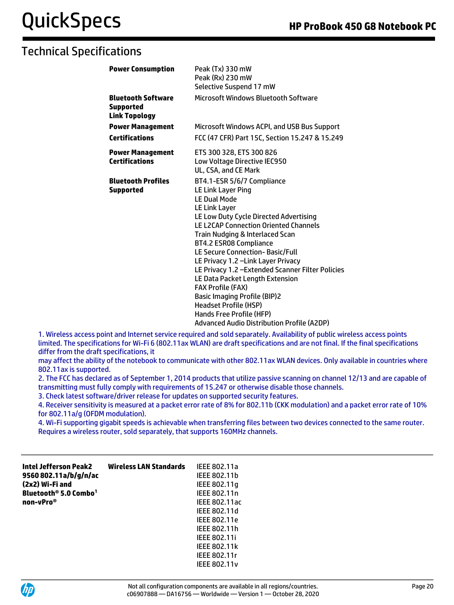| <b>Power Consumption</b>                         | Peak (Tx) 330 mW<br>Peak (Rx) 230 mW<br>Selective Suspend 17 mW                                                                                                                                                                                                                                                                                                                                                                                                                                                                                                                                                     |
|--------------------------------------------------|---------------------------------------------------------------------------------------------------------------------------------------------------------------------------------------------------------------------------------------------------------------------------------------------------------------------------------------------------------------------------------------------------------------------------------------------------------------------------------------------------------------------------------------------------------------------------------------------------------------------|
| Bluetooth Software<br>Supported<br>Link Topology | Microsoft Windows Bluetooth Software                                                                                                                                                                                                                                                                                                                                                                                                                                                                                                                                                                                |
| <b>Power Management</b>                          | Microsoft Windows ACPI, and USB Bus Support                                                                                                                                                                                                                                                                                                                                                                                                                                                                                                                                                                         |
| Certifications                                   | FCC (47 CFR) Part 15C, Section 15.247 & 15.249                                                                                                                                                                                                                                                                                                                                                                                                                                                                                                                                                                      |
| <b>Power Management</b><br><b>Certifications</b> | ETS 300 328, ETS 300 826<br>Low Voltage Directive IEC950<br>UL, CSA, and CE Mark                                                                                                                                                                                                                                                                                                                                                                                                                                                                                                                                    |
| Bluetooth Profiles<br>Supported                  | BT4.1-ESR 5/6/7 Compliance<br><b>LE Link Layer Ping</b><br><b>LE Dual Mode</b><br><b>LE Link Layer</b><br>LE Low Duty Cycle Directed Advertising<br><b>LE L2CAP Connection Oriented Channels</b><br>Train Nudging & Interlaced Scan<br>BT4.2 ESR08 Compliance<br>LE Secure Connection-Basic/Full<br>LE Privacy 1.2 - Link Layer Privacy<br>LE Privacy 1.2 - Extended Scanner Filter Policies<br>LE Data Packet Length Extension<br><b>FAX Profile (FAX)</b><br><b>Basic Imaging Profile (BIP)2</b><br><b>Headset Profile (HSP)</b><br>Hands Free Profile (HFP)<br><b>Advanced Audio Distribution Profile (A2DP)</b> |

1. Wireless access point and Internet service required and sold separately. Availability of public wireless access points limited. The specifications for Wi-Fi 6 (802.11ax WLAN) are draft specifications and are not final. If the final specifications differ from the draft specifications, it

may affect the ability of the notebook to communicate with other 802.11ax WLAN devices. Only available in countries where 802.11ax is supported.

2. The FCC has declared as of September 1, 2014 products that utilize passive scanning on channel 12/13 and are capable of transmitting must fully comply with requirements of 15.247 or otherwise disable those channels.

3. Check latest software/driver release for updates on supported security features.

4. Receiver sensitivity is measured at a packet error rate of 8% for 802.11b (CKK modulation) and a packet error rate of 10% for 802.11a/g (OFDM modulation).

4. Wi-Fi supporting gigabit speeds is achievable when transferring files between two devices connected to the same router. Requires a wireless router, sold separately, that supports 160MHz channels.

| Intel Jefferson Peak2<br>9560 802.11a/b/g/n/ac<br>(2x2) Wi-Fi and<br>Bluetooth <sup>®</sup> 5.0 Combo <sup>1</sup><br>non-vPro® | <b>Wireless LAN Standards</b> | IEEE 802.11a<br>IEEE 802.11b<br>IEEE 802.11g<br>IEEE 802.11n<br>IEEE 802.11ac<br>IEEE 802.11d<br>IEEE 802.11e<br>IEEE 802.11h<br>IEEE 802.11i<br><b>IEEE 802.11k</b> |
|---------------------------------------------------------------------------------------------------------------------------------|-------------------------------|----------------------------------------------------------------------------------------------------------------------------------------------------------------------|
|                                                                                                                                 |                               | IEEE 802.11r<br><b>IEEE 802.11v</b>                                                                                                                                  |

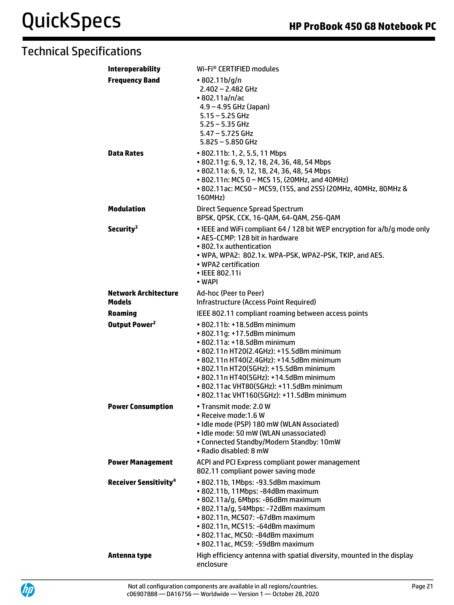| <b>Interoperability</b>                      | Wi-Fi <sup>®</sup> CERTIFIED modules                                                                                                                                                                                                                                                                                                                           |
|----------------------------------------------|----------------------------------------------------------------------------------------------------------------------------------------------------------------------------------------------------------------------------------------------------------------------------------------------------------------------------------------------------------------|
| <b>Frequency Band</b>                        | •802.11b/g/n<br>$2.402 - 2.482$ GHz<br>•802.11a/n/ac<br>$4.9 - 4.95$ GHz (Japan)<br>$5.15 - 5.25$ GHz<br>$5.25 - 5.35$ GHz<br>$5.47 - 5.725$ GHz<br>$5.825 - 5.850$ GHz                                                                                                                                                                                        |
| <b>Data Rates</b>                            | • 802.11b: 1, 2, 5.5, 11 Mbps<br>• 802.11g: 6, 9, 12, 18, 24, 36, 48, 54 Mbps<br>• 802.11a: 6, 9, 12, 18, 24, 36, 48, 54 Mbps<br>• 802.11n: MCS 0 ~ MCS 15, (20MHz, and 40MHz)<br>• 802.11ac: MCS0 ~ MCS9, (1SS, and 2SS) (20MHz, 40MHz, 80MHz &<br>160MHz)                                                                                                    |
| <b>Modulation</b>                            | Direct Sequence Spread Spectrum<br>BPSK, QPSK, CCK, 16-QAM, 64-QAM, 256-QAM                                                                                                                                                                                                                                                                                    |
| Security <sup>3</sup>                        | . IEEE and WiFi compliant 64 / 128 bit WEP encryption for a/b/g mode only<br>• AES-CCMP: 128 bit in hardware<br>• 802.1x authentication<br>. WPA, WPA2: 802.1x. WPA-PSK, WPA2-PSK, TKIP, and AES.<br>• WPA2 certification<br>• IEEE 802.11i<br>• WAPI                                                                                                          |
| <b>Network Architecture</b><br><b>Models</b> | Ad-hoc (Peer to Peer)<br>Infrastructure (Access Point Required)                                                                                                                                                                                                                                                                                                |
| <b>Roaming</b>                               | IEEE 802.11 compliant roaming between access points                                                                                                                                                                                                                                                                                                            |
| Output Power <sup>2</sup>                    | • 802.11b: +18.5dBm minimum<br>• 802.11g: +17.5dBm minimum<br>• 802.11a: +18.5dBm minimum<br>• 802.11n HT20(2.4GHz): +15.5dBm minimum<br>• 802.11n HT40(2.4GHz): +14.5dBm minimum<br>• 802.11n HT20(5GHz): +15.5dBm minimum<br>• 802.11n HT40(5GHz): +14.5dBm minimum<br>• 802.11ac VHT80(5GHz): +11.5dBm minimum<br>• 802.11ac VHT160(5GHz): +11.5dBm minimum |
| <b>Power Consumption</b>                     | · Transmit mode: 2.0 W<br>• Receive mode:1.6 W<br>· Idle mode (PSP) 180 mW (WLAN Associated)<br>· Idle mode: 50 mW (WLAN unassociated)<br>• Connected Standby/Modern Standby: 10mW<br>· Radio disabled: 8 mW                                                                                                                                                   |
| <b>Power Management</b>                      | ACPI and PCI Express compliant power management<br>802.11 compliant power saving mode                                                                                                                                                                                                                                                                          |
| <b>Receiver Sensitivity<sup>4</sup></b>      | • 802.11b, 1Mbps: -93.5dBm maximum<br>· 802.11b, 11Mbps: -84dBm maximum<br>· 802.11a/g, 6Mbps: -86dBm maximum<br>• 802.11a/g, 54Mbps: -72dBm maximum<br>• 802.11n, MCS07: -67dBm maximum<br>• 802.11n, MCS15: -64dBm maximum<br>· 802.11ac, MCS0: -84dBm maximum<br>· 802.11ac, MCS9: -59dBm maximum                                                           |
| Antenna type                                 | High efficiency antenna with spatial diversity, mounted in the display<br>enclosure                                                                                                                                                                                                                                                                            |

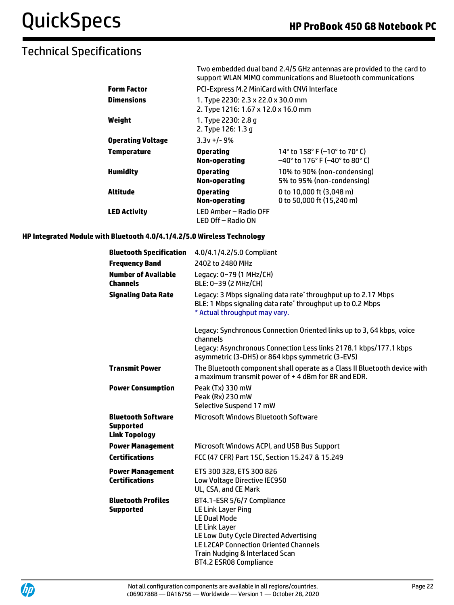|                          | Two embedded dual band 2.4/5 GHz antennas are provided to the card to<br>support WLAN MIMO communications and Bluetooth communications |                                                                                    |  |
|--------------------------|----------------------------------------------------------------------------------------------------------------------------------------|------------------------------------------------------------------------------------|--|
| <b>Form Factor</b>       | PCI-Express M.2 MiniCard with CNVI Interface                                                                                           |                                                                                    |  |
| <b>Dimensions</b>        | 1. Type 2230: 2.3 x 22.0 x 30.0 mm<br>2. Type 1216: 1.67 x 12.0 x 16.0 mm                                                              |                                                                                    |  |
| Weight                   | 1. Type 2230: 2.8 q<br>2. Type 126: 1.3 q                                                                                              |                                                                                    |  |
| <b>Operating Voltage</b> | $3.3v + 1 - 9%$                                                                                                                        |                                                                                    |  |
| Temperature              | <b>Operating</b><br>Non-operating                                                                                                      | 14° to 158° F (-10° to 70° C)<br>$-40^{\circ}$ to 176° F ( $-40^{\circ}$ to 80° C) |  |
| <b>Humidity</b>          | <b>Operating</b><br>Non-operating                                                                                                      | 10% to 90% (non-condensing)<br>5% to 95% (non-condensing)                          |  |
| Altitude                 | <b>Operating</b><br><b>Non-operating</b>                                                                                               | 0 to 10,000 ft (3,048 m)<br>0 to 50,000 ft (15,240 m)                              |  |
| <b>LED Activity</b>      | LED Amber - Radio OFF<br>LED Off - Radio ON                                                                                            |                                                                                    |  |

#### **HP Integrated Module with Bluetooth 4.0/4.1/4.2/5.0 Wireless Technology**

| <b>Bluetooth Specification</b>                                        | 4.0/4.1/4.2/5.0 Compliant                                                                                                                                                                                                                              |
|-----------------------------------------------------------------------|--------------------------------------------------------------------------------------------------------------------------------------------------------------------------------------------------------------------------------------------------------|
| <b>Frequency Band</b>                                                 | 2402 to 2480 MHz                                                                                                                                                                                                                                       |
| <b>Number of Available</b><br><b>Channels</b>                         | Legacy: 0~79 (1 MHz/CH)<br>BLE: 0~39 (2 MHz/CH)                                                                                                                                                                                                        |
| <b>Signaling Data Rate</b>                                            | Legacy: 3 Mbps signaling data rate* throughput up to 2.17 Mbps<br>BLE: 1 Mbps signaling data rate* throughput up to 0.2 Mbps<br>* Actual throughput may vary.                                                                                          |
|                                                                       | Legacy: Synchronous Connection Oriented links up to 3, 64 kbps, voice<br>channels<br>Legacy: Asynchronous Connection Less links 2178.1 kbps/177.1 kbps<br>asymmetric (3-DH5) or 864 kbps symmetric (3-EV5)                                             |
| <b>Transmit Power</b>                                                 | The Bluetooth component shall operate as a Class II Bluetooth device with<br>a maximum transmit power of +4 dBm for BR and EDR.                                                                                                                        |
| <b>Power Consumption</b>                                              | Peak (Tx) 330 mW<br>Peak (Rx) 230 mW<br>Selective Suspend 17 mW                                                                                                                                                                                        |
| <b>Bluetooth Software</b><br><b>Supported</b><br><b>Link Topology</b> | <b>Microsoft Windows Bluetooth Software</b>                                                                                                                                                                                                            |
| <b>Power Management</b>                                               | Microsoft Windows ACPI, and USB Bus Support                                                                                                                                                                                                            |
| <b>Certifications</b>                                                 | FCC (47 CFR) Part 15C, Section 15.247 & 15.249                                                                                                                                                                                                         |
| <b>Power Management</b><br><b>Certifications</b>                      | ETS 300 328, ETS 300 826<br>Low Voltage Directive IEC950<br>UL, CSA, and CE Mark                                                                                                                                                                       |
| <b>Bluetooth Profiles</b><br><b>Supported</b>                         | BT4.1-ESR 5/6/7 Compliance<br>LE Link Layer Ping<br><b>LE Dual Mode</b><br>LE Link Layer<br>LE Low Duty Cycle Directed Advertising<br><b>LE L2CAP Connection Oriented Channels</b><br>Train Nudging & Interlaced Scan<br><b>BT4.2 ESR08 Compliance</b> |

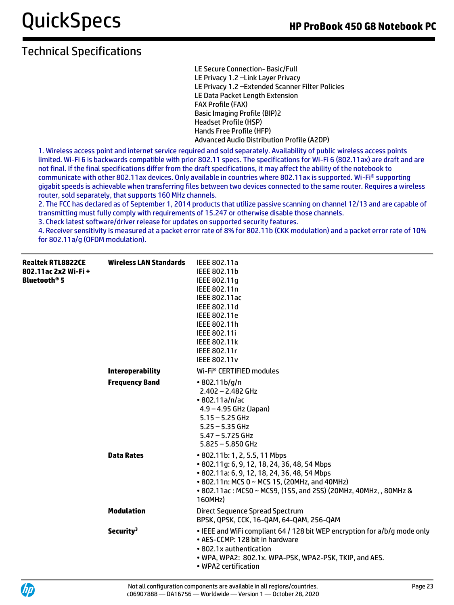LE Secure Connection- Basic/Full LE Privacy 1.2 –Link Layer Privacy LE Privacy 1.2 –Extended Scanner Filter Policies LE Data Packet Length Extension FAX Profile (FAX) Basic Imaging Profile (BIP)2 Headset Profile (HSP) Hands Free Profile (HFP) Advanced Audio Distribution Profile (A2DP)

1. Wireless access point and internet service required and sold separately. Availability of public wireless access points limited. Wi-Fi 6 is backwards compatible with prior 802.11 specs. The specifications for Wi-Fi 6 (802.11ax) are draft and are not final. If the final specifications differ from the draft specifications, it may affect the ability of the notebook to communicate with other 802.11ax devices. Only available in countries where 802.11ax is supported. Wi-Fi® supporting gigabit speeds is achievable when transferring files between two devices connected to the same router. Requires a wireless router, sold separately, that supports 160 MHz channels.

2. The FCC has declared as of September 1, 2014 products that utilize passive scanning on channel 12/13 and are capable of transmitting must fully comply with requirements of 15.247 or otherwise disable those channels.

3. Check latest software/driver release for updates on supported security features.

4. Receiver sensitivity is measured at a packet error rate of 8% for 802.11b (CKK modulation) and a packet error rate of 10% for 802.11a/g (OFDM modulation).

| <b>Realtek RTL8822CE</b><br>802.11ac 2x2 Wi-Fi+<br><b>Bluetooth<sup>®</sup> 5</b> | <b>Wireless LAN Standards</b> | IEEE 802.11a<br>IEEE 802.11b<br>IEEE 802.11q<br>IEEE 802.11n<br>IEEE 802.11ac<br>IEEE 802.11d<br>IEEE 802.11e<br>IEEE 802.11h<br>IEEE 802.11i<br><b>IEEE 802.11k</b><br>IEEE 802.11r<br><b>IEEE 802.11v</b>                                                   |
|-----------------------------------------------------------------------------------|-------------------------------|---------------------------------------------------------------------------------------------------------------------------------------------------------------------------------------------------------------------------------------------------------------|
|                                                                                   | <b>Interoperability</b>       | Wi-Fi <sup>®</sup> CERTIFIED modules                                                                                                                                                                                                                          |
|                                                                                   | <b>Frequency Band</b>         | •802.11b/q/n<br>$2.402 - 2.482$ GHz<br>$\cdot$ 802.11a/n/ac<br>$4.9 - 4.95$ GHz (Japan)<br>$5.15 - 5.25$ GHz<br>$5.25 - 5.35$ GHz<br>$5.47 - 5.725$ GHz<br>$5.825 - 5.850$ GHz                                                                                |
|                                                                                   | <b>Data Rates</b>             | • 802.11b: 1, 2, 5.5, 11 Mbps<br>• 802.11q: 6, 9, 12, 18, 24, 36, 48, 54 Mbps<br>• 802.11a: 6, 9, 12, 18, 24, 36, 48, 54 Mbps<br>• 802.11n: MCS 0 ~ MCS 15, (20MHz, and 40MHz)<br>• 802.11ac: MCS0 ~ MCS9, (1SS, and 2SS) (20MHz, 40MHz, , 80MHz &<br>160MHz) |
|                                                                                   | <b>Modulation</b>             | Direct Sequence Spread Spectrum<br>BPSK, QPSK, CCK, 16-QAM, 64-QAM, 256-QAM                                                                                                                                                                                   |
|                                                                                   | Security <sup>3</sup>         | • IEEE and WiFi compliant 64 / 128 bit WEP encryption for a/b/g mode only<br>• AES-CCMP: 128 bit in hardware<br>• 802.1x authentication<br>• WPA, WPA2: 802.1x. WPA-PSK, WPA2-PSK, TKIP, and AES.<br>• WPA2 certification                                     |

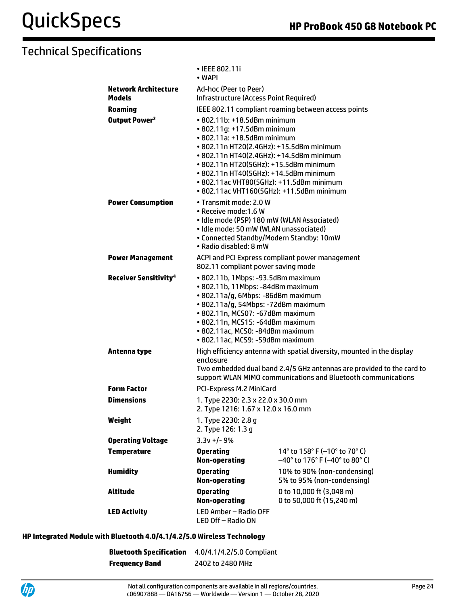|                                              | • IEEE 802.11i<br>• WAPI                                                                                                                                                                                                                                                                                                                                                |                                                                          |  |
|----------------------------------------------|-------------------------------------------------------------------------------------------------------------------------------------------------------------------------------------------------------------------------------------------------------------------------------------------------------------------------------------------------------------------------|--------------------------------------------------------------------------|--|
| <b>Network Architecture</b><br><b>Models</b> | Ad-hoc (Peer to Peer)<br>Infrastructure (Access Point Required)                                                                                                                                                                                                                                                                                                         |                                                                          |  |
| <b>Roaming</b>                               |                                                                                                                                                                                                                                                                                                                                                                         | IEEE 802.11 compliant roaming between access points                      |  |
| Output Power <sup>2</sup>                    | $\cdot$ 802.11b: $+18.5$ dBm minimum<br>• 802.11q: +17.5dBm minimum<br>• 802.11a: +18.5dBm minimum<br>• 802.11n HT20(2.4GHz): +15.5dBm minimum<br>• 802.11n HT40(2.4GHz): +14.5dBm minimum<br>• 802.11n HT20(5GHz): +15.5dBm minimum<br>• 802.11n HT40(5GHz): +14.5dBm minimum<br>• 802.11ac VHT80(5GHz): +11.5dBm minimum<br>• 802.11ac VHT160(5GHz): +11.5dBm minimum |                                                                          |  |
| <b>Power Consumption</b>                     | • Transmit mode: 2.0 W<br>• Receive mode:1.6 W<br>• Idle mode (PSP) 180 mW (WLAN Associated)<br>• Idle mode: 50 mW (WLAN unassociated)<br>• Connected Standby/Modern Standby: 10mW<br>• Radio disabled: 8 mW                                                                                                                                                            |                                                                          |  |
| <b>Power Management</b>                      | ACPI and PCI Express compliant power management<br>802.11 compliant power saving mode                                                                                                                                                                                                                                                                                   |                                                                          |  |
| <b>Receiver Sensitivity<sup>4</sup></b>      | • 802.11b, 1Mbps: -93.5dBm maximum<br>· 802.11b, 11Mbps: -84dBm maximum<br>• 802.11a/g, 6Mbps: -86dBm maximum<br>• 802.11a/g, 54Mbps: -72dBm maximum<br>• 802.11n, MCS07: -67dBm maximum<br>• 802.11n, MCS15: -64dBm maximum<br>· 802.11ac, MCS0: -84dBm maximum<br>· 802.11ac, MCS9: -59dBm maximum                                                                    |                                                                          |  |
| Antenna type                                 | High efficiency antenna with spatial diversity, mounted in the display<br>enclosure<br>Two embedded dual band 2.4/5 GHz antennas are provided to the card to<br>support WLAN MIMO communications and Bluetooth communications                                                                                                                                           |                                                                          |  |
| <b>Form Factor</b>                           | PCI-Express M.2 MiniCard                                                                                                                                                                                                                                                                                                                                                |                                                                          |  |
| <b>Dimensions</b>                            | 1. Type 2230: 2.3 x 22.0 x 30.0 mm<br>2. Type 1216: 1.67 x 12.0 x 16.0 mm                                                                                                                                                                                                                                                                                               |                                                                          |  |
| Weight                                       | 1. Type 2230: 2.8 g<br>2. Type 126: 1.3 g                                                                                                                                                                                                                                                                                                                               |                                                                          |  |
| <b>Operating Voltage</b>                     | $3.3v +/- 9%$                                                                                                                                                                                                                                                                                                                                                           |                                                                          |  |
| <b>Temperature</b>                           | <b>Operating</b><br>Non-operating                                                                                                                                                                                                                                                                                                                                       | 14° to 158° F (-10° to 70° C)<br>$-40^{\circ}$ to 176° F (-40° to 80° C) |  |
| <b>Humidity</b>                              | <b>Operating</b><br><b>Non-operating</b>                                                                                                                                                                                                                                                                                                                                | 10% to 90% (non-condensing)<br>5% to 95% (non-condensing)                |  |
| <b>Altitude</b>                              | <b>Operating</b><br><b>Non-operating</b>                                                                                                                                                                                                                                                                                                                                | 0 to 10,000 ft (3,048 m)<br>0 to 50,000 ft (15,240 m)                    |  |
| <b>LED Activity</b>                          | LED Amber - Radio OFF<br>LED Off-Radio ON                                                                                                                                                                                                                                                                                                                               |                                                                          |  |

### **HP Integrated Module with Bluetooth 4.0/4.1/4.2/5.0 Wireless Technology**

| Bluetooth Specification | 4.0/4.1/4.2/5.0 Compliant |  |  |
|-------------------------|---------------------------|--|--|
| Frequency Band          | 2402 to 2480 MHz          |  |  |

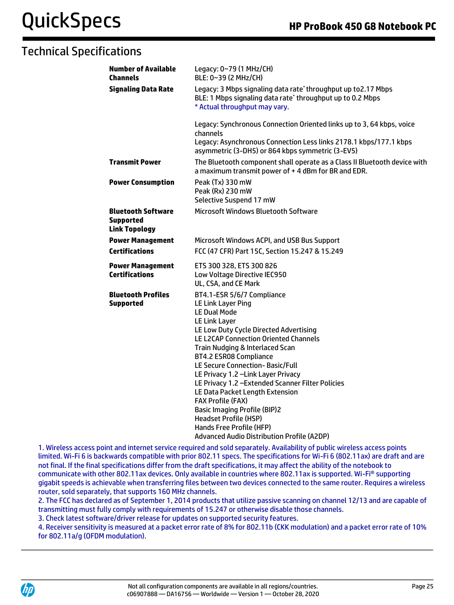| <b>Number of Available</b><br><b>Channels</b>                         | Legacy: 0~79 (1 MHz/CH)<br>BLE: 0~39 (2 MHz/CH)                                                                                                                                                                                                                                                                                                                                                                                                                                                                                                                                                                     |
|-----------------------------------------------------------------------|---------------------------------------------------------------------------------------------------------------------------------------------------------------------------------------------------------------------------------------------------------------------------------------------------------------------------------------------------------------------------------------------------------------------------------------------------------------------------------------------------------------------------------------------------------------------------------------------------------------------|
| <b>Signaling Data Rate</b>                                            | Legacy: 3 Mbps signaling data rate*throughput up to2.17 Mbps<br>BLE: 1 Mbps signaling data rate* throughput up to 0.2 Mbps<br>* Actual throughput may vary.                                                                                                                                                                                                                                                                                                                                                                                                                                                         |
|                                                                       | Legacy: Synchronous Connection Oriented links up to 3, 64 kbps, voice<br>channels<br>Legacy: Asynchronous Connection Less links 2178.1 kbps/177.1 kbps<br>asymmetric (3-DH5) or 864 kbps symmetric (3-EV5)                                                                                                                                                                                                                                                                                                                                                                                                          |
| <b>Transmit Power</b>                                                 | The Bluetooth component shall operate as a Class II Bluetooth device with<br>a maximum transmit power of +4 dBm for BR and EDR.                                                                                                                                                                                                                                                                                                                                                                                                                                                                                     |
| <b>Power Consumption</b>                                              | Peak (Tx) 330 mW<br>Peak (Rx) 230 mW<br>Selective Suspend 17 mW                                                                                                                                                                                                                                                                                                                                                                                                                                                                                                                                                     |
| <b>Bluetooth Software</b><br><b>Supported</b><br><b>Link Topology</b> | <b>Microsoft Windows Bluetooth Software</b>                                                                                                                                                                                                                                                                                                                                                                                                                                                                                                                                                                         |
| <b>Power Management</b>                                               | Microsoft Windows ACPI, and USB Bus Support                                                                                                                                                                                                                                                                                                                                                                                                                                                                                                                                                                         |
| <b>Certifications</b>                                                 | FCC (47 CFR) Part 15C, Section 15.247 & 15.249                                                                                                                                                                                                                                                                                                                                                                                                                                                                                                                                                                      |
| <b>Power Management</b><br><b>Certifications</b>                      | ETS 300 328, ETS 300 826<br>Low Voltage Directive IEC950<br>UL, CSA, and CE Mark                                                                                                                                                                                                                                                                                                                                                                                                                                                                                                                                    |
| <b>Bluetooth Profiles</b><br><b>Supported</b>                         | BT4.1-ESR 5/6/7 Compliance<br><b>LE Link Layer Ping</b><br><b>LE Dual Mode</b><br><b>LE Link Layer</b><br>LE Low Duty Cycle Directed Advertising<br>LE L2CAP Connection Oriented Channels<br>Train Nudging & Interlaced Scan<br><b>BT4.2 ESR08 Compliance</b><br>LE Secure Connection-Basic/Full<br>LE Privacy 1.2 - Link Layer Privacy<br>LE Privacy 1.2 - Extended Scanner Filter Policies<br>LE Data Packet Length Extension<br><b>FAX Profile (FAX)</b><br><b>Basic Imaging Profile (BIP)2</b><br><b>Headset Profile (HSP)</b><br>Hands Free Profile (HFP)<br><b>Advanced Audio Distribution Profile (A2DP)</b> |

1. Wireless access point and internet service required and sold separately. Availability of public wireless access points limited. Wi-Fi 6 is backwards compatible with prior 802.11 specs. The specifications for Wi-Fi 6 (802.11ax) are draft and are not final. If the final specifications differ from the draft specifications, it may affect the ability of the notebook to communicate with other 802.11ax devices. Only available in countries where 802.11ax is supported. Wi-Fi® supporting gigabit speeds is achievable when transferring files between two devices connected to the same router. Requires a wireless router, sold separately, that supports 160 MHz channels.

2. The FCC has declared as of September 1, 2014 products that utilize passive scanning on channel 12/13 and are capable of transmitting must fully comply with requirements of 15.247 or otherwise disable those channels.

3. Check latest software/driver release for updates on supported security features.

4. Receiver sensitivity is measured at a packet error rate of 8% for 802.11b (CKK modulation) and a packet error rate of 10% for 802.11a/g (OFDM modulation).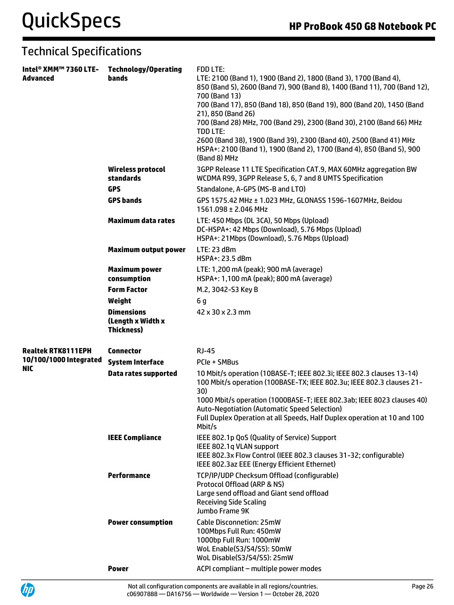| Intel® XMM™ 7360 LTE-<br><b>Advanced</b> | <b>Technology/Operating</b><br><b>bands</b>                 | <b>FDD LTE:</b><br>LTE: 2100 (Band 1), 1900 (Band 2), 1800 (Band 3), 1700 (Band 4),<br>850 (Band 5), 2600 (Band 7), 900 (Band 8), 1400 (Band 11), 700 (Band 12),<br>700 (Band 13)<br>700 (Band 17), 850 (Band 18), 850 (Band 19), 800 (Band 20), 1450 (Band<br>21), 850 (Band 26)<br>700 (Band 28) MHz, 700 (Band 29), 2300 (Band 30), 2100 (Band 66) MHz<br><b>TDD LTE:</b><br>2600 (Band 38), 1900 (Band 39), 2300 (Band 40), 2500 (Band 41) MHz<br>HSPA+: 2100 (Band 1), 1900 (Band 2), 1700 (Band 4), 850 (Band 5), 900<br>(Band 8) MHz |  |
|------------------------------------------|-------------------------------------------------------------|---------------------------------------------------------------------------------------------------------------------------------------------------------------------------------------------------------------------------------------------------------------------------------------------------------------------------------------------------------------------------------------------------------------------------------------------------------------------------------------------------------------------------------------------|--|
|                                          | <b>Wireless protocol</b><br>standards                       | 3GPP Release 11 LTE Specification CAT.9, MAX 60MHz aggregation BW<br>WCDMA R99, 3GPP Release 5, 6, 7 and 8 UMTS Specification                                                                                                                                                                                                                                                                                                                                                                                                               |  |
|                                          | <b>GPS</b>                                                  | Standalone, A-GPS (MS-B and LTO)                                                                                                                                                                                                                                                                                                                                                                                                                                                                                                            |  |
|                                          | <b>GPS bands</b>                                            | GPS 1575.42 MHz ± 1.023 MHz, GLONASS 1596-1607MHz, Beidou<br>1561.098 ± 2.046 MHz                                                                                                                                                                                                                                                                                                                                                                                                                                                           |  |
|                                          | <b>Maximum data rates</b>                                   | LTE: 450 Mbps (DL 3CA), 50 Mbps (Upload)<br>DC-HSPA+: 42 Mbps (Download), 5.76 Mbps (Upload)<br>HSPA+: 21Mbps (Download), 5.76 Mbps (Upload)                                                                                                                                                                                                                                                                                                                                                                                                |  |
|                                          | <b>Maximum output power</b>                                 | LTE: 23 dBm<br>HSPA+: 23.5 dBm                                                                                                                                                                                                                                                                                                                                                                                                                                                                                                              |  |
|                                          | <b>Maximum power</b><br>consumption                         | LTE: 1,200 mA (peak); 900 mA (average)<br>HSPA+: 1,100 mA (peak); 800 mA (average)                                                                                                                                                                                                                                                                                                                                                                                                                                                          |  |
|                                          | <b>Form Factor</b>                                          | M.2, 3042-S3 Key B                                                                                                                                                                                                                                                                                                                                                                                                                                                                                                                          |  |
|                                          | Weight                                                      | 6g                                                                                                                                                                                                                                                                                                                                                                                                                                                                                                                                          |  |
|                                          | <b>Dimensions</b><br>(Length x Width x<br><b>Thickness)</b> | 42 x 30 x 2.3 mm                                                                                                                                                                                                                                                                                                                                                                                                                                                                                                                            |  |
| <b>Realtek RTK8111EPH</b>                | <b>Connector</b>                                            | <b>RJ-45</b>                                                                                                                                                                                                                                                                                                                                                                                                                                                                                                                                |  |
| 10/100/1000 Integrated                   | <b>System Interface</b>                                     | PCIe + SMBus                                                                                                                                                                                                                                                                                                                                                                                                                                                                                                                                |  |
| <b>NIC</b>                               | <b>Data rates supported</b>                                 | 10 Mbit/s operation (10BASE-T; IEEE 802.3i; IEEE 802.3 clauses 13-14)<br>100 Mbit/s operation (100BASE-TX; IEEE 802.3u; IEEE 802.3 clauses 21-<br>30)<br>1000 Mbit/s operation (1000BASE-T; IEEE 802.3ab; IEEE 8023 clauses 40)<br><b>Auto-Negotiation (Automatic Speed Selection)</b><br>Full Duplex Operation at all Speeds, Half Duplex operation at 10 and 100<br>Mbit/s                                                                                                                                                                |  |
|                                          | <b>IEEE Compliance</b>                                      | IEEE 802.1p QoS (Quality of Service) Support<br>IEEE 802.1q VLAN support<br>IEEE 802.3x Flow Control (IEEE 802.3 clauses 31-32; configurable)<br>IEEE 802.3az EEE (Energy Efficient Ethernet)                                                                                                                                                                                                                                                                                                                                               |  |
|                                          | Performance                                                 | TCP/IP/UDP Checksum Offload (configurable)<br>Protocol Offload (ARP & NS)<br>Large send offload and Giant send offload<br><b>Receiving Side Scaling</b><br>Jumbo Frame 9K                                                                                                                                                                                                                                                                                                                                                                   |  |
|                                          | <b>Power consumption</b>                                    | <b>Cable Disconnetion: 25mW</b><br>100Mbps Full Run: 450mW<br>1000bp Full Run: 1000mW<br>WoL Enable(S3/S4/S5): 50mW<br>WoL Disable(S3/S4/S5): 25mW                                                                                                                                                                                                                                                                                                                                                                                          |  |
|                                          | <b>Power</b>                                                | ACPI compliant - multiple power modes                                                                                                                                                                                                                                                                                                                                                                                                                                                                                                       |  |

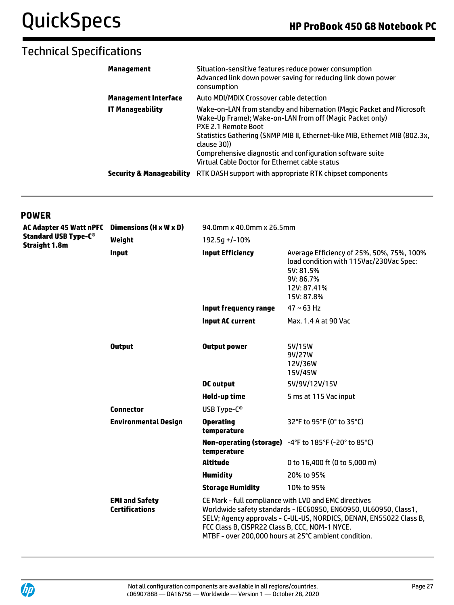| Management                          | Situation-sensitive features reduce power consumption<br>Advanced link down power saving for reducing link down power<br>consumption                                                                                                                                                                                                                                        |
|-------------------------------------|-----------------------------------------------------------------------------------------------------------------------------------------------------------------------------------------------------------------------------------------------------------------------------------------------------------------------------------------------------------------------------|
| <b>Management Interface</b>         | Auto MDI/MDIX Crossover cable detection                                                                                                                                                                                                                                                                                                                                     |
| IT Manageability                    | Wake-on-LAN from standby and hibernation (Magic Packet and Microsoft<br>Wake-Up Frame); Wake-on-LAN from off (Magic Packet only)<br><b>PXE 2.1 Remote Boot</b><br>Statistics Gathering (SNMP MIB II, Ethernet-like MIB, Ethernet MIB (802.3x,<br>clause 30))<br>Comprehensive diagnostic and configuration software suite<br>Virtual Cable Doctor for Ethernet cable status |
| <b>Security &amp; Manageability</b> | RTK DASH support with appropriate RTK chipset components                                                                                                                                                                                                                                                                                                                    |

### **POWER**

| <b>AC Adapter 45 Watt nPFC</b><br><b>Standard USB Type-C®</b><br><b>Straight 1.8m</b> | Dimensions (H x W x D)                         | 94.0mm x 40.0mm x 26.5mm                                                                                                                                                                                                                                                                                  |                                                                                                                                             |
|---------------------------------------------------------------------------------------|------------------------------------------------|-----------------------------------------------------------------------------------------------------------------------------------------------------------------------------------------------------------------------------------------------------------------------------------------------------------|---------------------------------------------------------------------------------------------------------------------------------------------|
|                                                                                       | Weight                                         | 192.5q +/-10%                                                                                                                                                                                                                                                                                             |                                                                                                                                             |
|                                                                                       | <b>Input</b>                                   | <b>Input Efficiency</b>                                                                                                                                                                                                                                                                                   | Average Efficiency of 25%, 50%, 75%, 100%<br>load condition with 115Vac/230Vac Spec:<br>5V: 81.5%<br>9V: 86.7%<br>12V: 87.41%<br>15V: 87.8% |
|                                                                                       |                                                | <b>Input frequency range</b>                                                                                                                                                                                                                                                                              | $47 \sim 63$ Hz                                                                                                                             |
|                                                                                       |                                                | <b>Input AC current</b>                                                                                                                                                                                                                                                                                   | Max. 1.4 A at 90 Vac                                                                                                                        |
|                                                                                       | <b>Output</b>                                  | <b>Output power</b>                                                                                                                                                                                                                                                                                       | 5V/15W<br>9V/27W<br>12V/36W<br>15V/45W                                                                                                      |
|                                                                                       |                                                | <b>DC</b> output                                                                                                                                                                                                                                                                                          | 5V/9V/12V/15V                                                                                                                               |
|                                                                                       |                                                | Hold-up time                                                                                                                                                                                                                                                                                              | 5 ms at 115 Vac input                                                                                                                       |
|                                                                                       | <b>Connector</b>                               | USB Type-C®                                                                                                                                                                                                                                                                                               |                                                                                                                                             |
|                                                                                       | <b>Environmental Design</b>                    | <b>Operating</b><br>temperature                                                                                                                                                                                                                                                                           | 32°F to 95°F (0° to 35°C)                                                                                                                   |
|                                                                                       |                                                | temperature                                                                                                                                                                                                                                                                                               | Non-operating (storage) -4°F to 185°F (-20° to 85°C)                                                                                        |
|                                                                                       |                                                | <b>Altitude</b>                                                                                                                                                                                                                                                                                           | 0 to 16,400 ft (0 to 5,000 m)                                                                                                               |
|                                                                                       |                                                | <b>Humidity</b>                                                                                                                                                                                                                                                                                           | 20% to 95%                                                                                                                                  |
|                                                                                       |                                                | <b>Storage Humidity</b>                                                                                                                                                                                                                                                                                   | 10% to 95%                                                                                                                                  |
|                                                                                       | <b>EMI and Safety</b><br><b>Certifications</b> | CE Mark - full compliance with LVD and EMC directives<br>Worldwide safety standards - IEC60950, EN60950, UL60950, Class1,<br>SELV; Agency approvals - C-UL-US, NORDICS, DENAN, EN55022 Class B,<br>FCC Class B, CISPR22 Class B, CCC, NOM-1 NYCE.<br>MTBF - over 200,000 hours at 25°C ambient condition. |                                                                                                                                             |

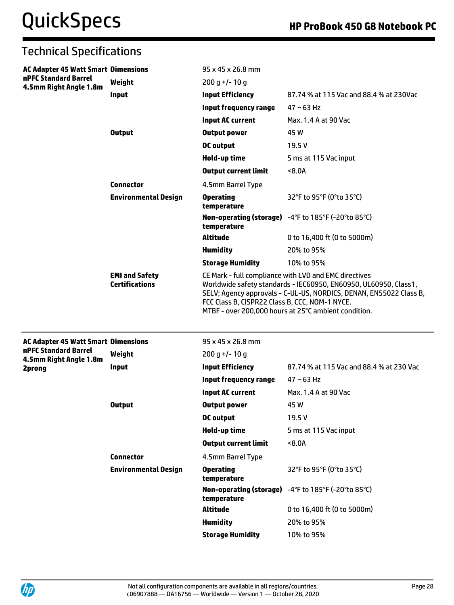| <b>Technical Specifications</b>                |                                                |                                                                                                                                                                                                                                                                                                           |                                                     |  |
|------------------------------------------------|------------------------------------------------|-----------------------------------------------------------------------------------------------------------------------------------------------------------------------------------------------------------------------------------------------------------------------------------------------------------|-----------------------------------------------------|--|
| <b>AC Adapter 45 Watt Smart Dimensions</b>     |                                                | $95 \times 45 \times 26.8$ mm                                                                                                                                                                                                                                                                             |                                                     |  |
| nPFC Standard Barrel<br>4.5mm Right Angle 1.8m | Weight                                         | $200 g$ +/-10 g                                                                                                                                                                                                                                                                                           |                                                     |  |
|                                                | Input                                          | <b>Input Efficiency</b>                                                                                                                                                                                                                                                                                   | 87.74 % at 115 Vac and 88.4 % at 230Vac             |  |
|                                                |                                                | <b>Input frequency range</b>                                                                                                                                                                                                                                                                              | $47 \sim 63$ Hz                                     |  |
|                                                |                                                | <b>Input AC current</b>                                                                                                                                                                                                                                                                                   | Max. 1.4 A at 90 Vac                                |  |
|                                                | <b>Output</b>                                  | <b>Output power</b>                                                                                                                                                                                                                                                                                       | 45 W                                                |  |
|                                                |                                                | <b>DC</b> output                                                                                                                                                                                                                                                                                          | 19.5V                                               |  |
|                                                |                                                | Hold-up time                                                                                                                                                                                                                                                                                              | 5 ms at 115 Vac input                               |  |
|                                                |                                                | <b>Output current limit</b>                                                                                                                                                                                                                                                                               | 8.0A                                                |  |
|                                                | <b>Connector</b>                               | 4.5mm Barrel Type                                                                                                                                                                                                                                                                                         |                                                     |  |
|                                                | <b>Environmental Design</b>                    | <b>Operating</b><br>temperature                                                                                                                                                                                                                                                                           | 32°F to 95°F (0°to 35°C)                            |  |
|                                                |                                                | temperature                                                                                                                                                                                                                                                                                               | Non-operating (storage) -4°F to 185°F (-20°to 85°C) |  |
|                                                |                                                | <b>Altitude</b>                                                                                                                                                                                                                                                                                           | 0 to 16,400 ft (0 to 5000m)                         |  |
|                                                |                                                | <b>Humidity</b>                                                                                                                                                                                                                                                                                           | 20% to 95%                                          |  |
|                                                |                                                | <b>Storage Humidity</b>                                                                                                                                                                                                                                                                                   | 10% to 95%                                          |  |
|                                                | <b>EMI and Safety</b><br><b>Certifications</b> | CE Mark - full compliance with LVD and EMC directives<br>Worldwide safety standards - IEC60950, EN60950, UL60950, Class1,<br>SELV; Agency approvals - C-UL-US, NORDICS, DENAN, EN55022 Class B,<br>FCC Class B, CISPR22 Class B, CCC, NOM-1 NYCE.<br>MTBF - over 200,000 hours at 25°C ambient condition. |                                                     |  |
| <b>AC Adapter 45 Watt Smart Dimensions</b>     |                                                | 95 x 45 x 26.8 mm                                                                                                                                                                                                                                                                                         |                                                     |  |
| nPFC Standard Barrel                           | Weight                                         | $200 g$ +/-10 g                                                                                                                                                                                                                                                                                           |                                                     |  |
| 4.5mm Right Angle 1.8m<br>2prong               | <b>Input</b>                                   | <b>Input Efficiency</b>                                                                                                                                                                                                                                                                                   | 87.74 % at 115 Vac and 88.4 % at 230 Vac            |  |
|                                                |                                                | <b>Input frequency range</b>                                                                                                                                                                                                                                                                              | $47 \sim 63$ Hz                                     |  |
|                                                |                                                | <b>Input AC current</b>                                                                                                                                                                                                                                                                                   | Max. 1.4 A at 90 Vac                                |  |
|                                                | <b>Output</b>                                  | <b>Output power</b>                                                                                                                                                                                                                                                                                       | 45 W                                                |  |
|                                                |                                                | <b>DC</b> output                                                                                                                                                                                                                                                                                          | 19.5V                                               |  |
|                                                |                                                | Hold-up time                                                                                                                                                                                                                                                                                              | 5 ms at 115 Vac input                               |  |
|                                                |                                                | <b>Output current limit</b>                                                                                                                                                                                                                                                                               | 8.0A                                                |  |
|                                                | <b>Connector</b>                               | 4.5mm Barrel Type                                                                                                                                                                                                                                                                                         |                                                     |  |
|                                                | <b>Environmental Design</b>                    | <b>Operating</b><br>temperature                                                                                                                                                                                                                                                                           | 32°F to 95°F (0°to 35°C)                            |  |
|                                                |                                                | temperature                                                                                                                                                                                                                                                                                               | Non-operating (storage) -4°F to 185°F (-20°to 85°C) |  |
|                                                |                                                | <b>Altitude</b>                                                                                                                                                                                                                                                                                           | 0 to 16,400 ft (0 to 5000m)                         |  |
|                                                |                                                | <b>Humidity</b>                                                                                                                                                                                                                                                                                           | 20% to 95%                                          |  |
|                                                |                                                | <b>Storage Humidity</b>                                                                                                                                                                                                                                                                                   | 10% to 95%                                          |  |

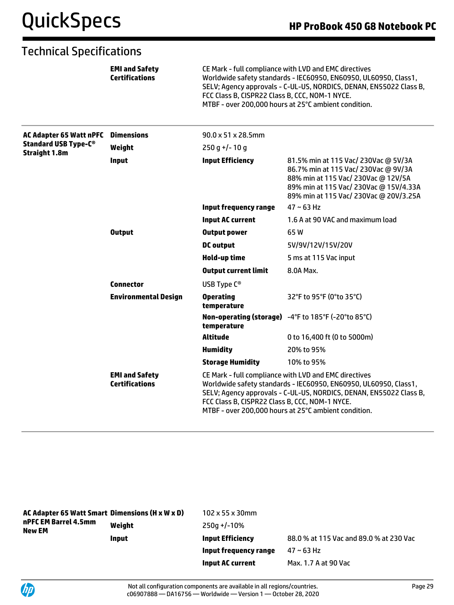|                                                                                       | <b>EMI and Safety</b><br><b>Certifications</b> | CE Mark - full compliance with LVD and EMC directives<br>Worldwide safety standards - IEC60950, EN60950, UL60950, Class1,<br>SELV; Agency approvals - C-UL-US, NORDICS, DENAN, EN55022 Class B,<br>FCC Class B, CISPR22 Class B, CCC, NOM-1 NYCE.<br>MTBF - over 200,000 hours at 25°C ambient condition. |                                                                                                                                                                                                         |  |
|---------------------------------------------------------------------------------------|------------------------------------------------|-----------------------------------------------------------------------------------------------------------------------------------------------------------------------------------------------------------------------------------------------------------------------------------------------------------|---------------------------------------------------------------------------------------------------------------------------------------------------------------------------------------------------------|--|
| <b>AC Adapter 65 Watt nPFC</b><br><b>Standard USB Type-C®</b><br><b>Straight 1.8m</b> | <b>Dimensions</b>                              | 90.0 x 51 x 28.5mm                                                                                                                                                                                                                                                                                        |                                                                                                                                                                                                         |  |
|                                                                                       | Weight                                         | $250q+/-10q$                                                                                                                                                                                                                                                                                              |                                                                                                                                                                                                         |  |
|                                                                                       | <b>Input</b>                                   | <b>Input Efficiency</b>                                                                                                                                                                                                                                                                                   | 81.5% min at 115 Vac/ 230Vac @ 5V/3A<br>86.7% min at 115 Vac/ 230Vac @ 9V/3A<br>88% min at 115 Vac/ 230Vac @ 12V/5A<br>89% min at 115 Vac/ 230Vac @ 15V/4.33A<br>89% min at 115 Vac/ 230Vac @ 20V/3.25A |  |
|                                                                                       |                                                | <b>Input frequency range</b>                                                                                                                                                                                                                                                                              | $47 \sim 63$ Hz                                                                                                                                                                                         |  |
|                                                                                       |                                                | <b>Input AC current</b>                                                                                                                                                                                                                                                                                   | 1.6 A at 90 VAC and maximum load                                                                                                                                                                        |  |
|                                                                                       | <b>Output</b>                                  | <b>Output power</b>                                                                                                                                                                                                                                                                                       | 65W                                                                                                                                                                                                     |  |
|                                                                                       |                                                | <b>DC</b> output                                                                                                                                                                                                                                                                                          | 5V/9V/12V/15V/20V                                                                                                                                                                                       |  |
|                                                                                       |                                                | <b>Hold-up time</b>                                                                                                                                                                                                                                                                                       | 5 ms at 115 Vac input                                                                                                                                                                                   |  |
|                                                                                       |                                                | <b>Output current limit</b>                                                                                                                                                                                                                                                                               | 8.0A Max.                                                                                                                                                                                               |  |
|                                                                                       | <b>Connector</b>                               | USB Type C <sup>®</sup>                                                                                                                                                                                                                                                                                   |                                                                                                                                                                                                         |  |
|                                                                                       | <b>Environmental Design</b>                    | <b>Operating</b><br>temperature                                                                                                                                                                                                                                                                           | 32°F to 95°F (0°to 35°C)                                                                                                                                                                                |  |
|                                                                                       |                                                | temperature                                                                                                                                                                                                                                                                                               | Non-operating (storage) -4°F to 185°F (-20°to 85°C)                                                                                                                                                     |  |
|                                                                                       |                                                | <b>Altitude</b>                                                                                                                                                                                                                                                                                           | 0 to 16,400 ft (0 to 5000m)                                                                                                                                                                             |  |
|                                                                                       |                                                | <b>Humidity</b>                                                                                                                                                                                                                                                                                           | 20% to 95%                                                                                                                                                                                              |  |
|                                                                                       |                                                | <b>Storage Humidity</b>                                                                                                                                                                                                                                                                                   | 10% to 95%                                                                                                                                                                                              |  |
|                                                                                       | <b>EMI and Safety</b><br><b>Certifications</b> | CE Mark - full compliance with LVD and EMC directives<br>Worldwide safety standards - IEC60950, EN60950, UL60950, Class1,<br>SELV; Agency approvals - C-UL-US, NORDICS, DENAN, EN55022 Class B,<br>FCC Class B, CISPR22 Class B, CCC, NOM-1 NYCE.<br>MTBF - over 200,000 hours at 25°C ambient condition. |                                                                                                                                                                                                         |  |

| AC Adapter 65 Watt Smart Dimensions (H x W x D)<br>nPFC EM Barrel 4.5mm<br>New EM |              | $102 \times 55 \times 30$ mm |                                         |
|-----------------------------------------------------------------------------------|--------------|------------------------------|-----------------------------------------|
|                                                                                   | Weight       | $250a + (-10\%)$             |                                         |
|                                                                                   | <b>Input</b> | <b>Input Efficiency</b>      | 88.0 % at 115 Vac and 89.0 % at 230 Vac |
|                                                                                   |              | Input frequency range        | 47 ~ 63 Hz                              |
|                                                                                   |              | <b>Input AC current</b>      | Max. 1.7 A at 90 Vac                    |

UP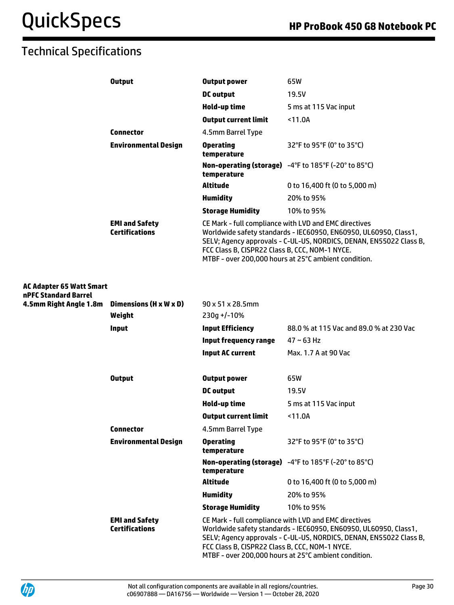|                                                         | <b>Output</b>                                  | <b>Output power</b>                                                                                                                                                                                                                                                                                       | 65W                                                  |
|---------------------------------------------------------|------------------------------------------------|-----------------------------------------------------------------------------------------------------------------------------------------------------------------------------------------------------------------------------------------------------------------------------------------------------------|------------------------------------------------------|
|                                                         |                                                | <b>DC</b> output                                                                                                                                                                                                                                                                                          | 19.5V                                                |
|                                                         |                                                | <b>Hold-up time</b>                                                                                                                                                                                                                                                                                       | 5 ms at 115 Vac input                                |
|                                                         |                                                | <b>Output current limit</b>                                                                                                                                                                                                                                                                               | $11.0A$                                              |
|                                                         | <b>Connector</b>                               | 4.5mm Barrel Type                                                                                                                                                                                                                                                                                         |                                                      |
|                                                         | <b>Environmental Design</b>                    | <b>Operating</b><br>temperature                                                                                                                                                                                                                                                                           | 32°F to 95°F (0° to 35°C)                            |
|                                                         |                                                | temperature                                                                                                                                                                                                                                                                                               | Non-operating (storage) -4°F to 185°F (-20° to 85°C) |
|                                                         |                                                | Altitude                                                                                                                                                                                                                                                                                                  | 0 to 16,400 ft (0 to 5,000 m)                        |
|                                                         |                                                | <b>Humidity</b>                                                                                                                                                                                                                                                                                           | 20% to 95%                                           |
|                                                         |                                                | <b>Storage Humidity</b>                                                                                                                                                                                                                                                                                   | 10% to 95%                                           |
|                                                         | <b>EMI and Safety</b><br><b>Certifications</b> | CE Mark - full compliance with LVD and EMC directives<br>Worldwide safety standards - IEC60950, EN60950, UL60950, Class1,<br>SELV; Agency approvals - C-UL-US, NORDICS, DENAN, EN55022 Class B,<br>FCC Class B, CISPR22 Class B, CCC, NOM-1 NYCE.<br>MTBF - over 200,000 hours at 25°C ambient condition. |                                                      |
| <b>AC Adapter 65 Watt Smart</b><br>nPFC Standard Barrel |                                                |                                                                                                                                                                                                                                                                                                           |                                                      |
| 4.5mm Right Angle 1.8m Dimensions (H x W x D)           |                                                | 90 x 51 x 28.5mm                                                                                                                                                                                                                                                                                          |                                                      |
|                                                         | Weight                                         | $230g + (-10%)$                                                                                                                                                                                                                                                                                           |                                                      |
|                                                         | <b>Input</b>                                   | <b>Input Efficiency</b>                                                                                                                                                                                                                                                                                   | 88.0 % at 115 Vac and 89.0 % at 230 Vac              |
|                                                         |                                                | <b>Input frequency range</b>                                                                                                                                                                                                                                                                              | $47 \sim 63$ Hz                                      |
|                                                         |                                                | <b>Input AC current</b>                                                                                                                                                                                                                                                                                   | Max. 1.7 A at 90 Vac                                 |
|                                                         | <b>Output</b>                                  | <b>Output power</b>                                                                                                                                                                                                                                                                                       | 65W                                                  |
|                                                         |                                                | <b>DC</b> output                                                                                                                                                                                                                                                                                          | 19.5V                                                |
|                                                         |                                                | Hold-up time                                                                                                                                                                                                                                                                                              | 5 ms at 115 Vac input                                |
|                                                         |                                                | <b>Output current limit</b>                                                                                                                                                                                                                                                                               | $11.0A$                                              |
|                                                         | <b>Connector</b>                               | 4.5mm Barrel Type                                                                                                                                                                                                                                                                                         |                                                      |
|                                                         | <b>Environmental Design</b>                    | <b>Operating</b><br>temperature                                                                                                                                                                                                                                                                           | 32°F to 95°F (0° to 35°C)                            |
|                                                         |                                                | temperature                                                                                                                                                                                                                                                                                               | Non-operating (storage) -4°F to 185°F (-20° to 85°C) |
|                                                         |                                                | <b>Altitude</b>                                                                                                                                                                                                                                                                                           | 0 to 16,400 ft (0 to 5,000 m)                        |
|                                                         |                                                | <b>Humidity</b>                                                                                                                                                                                                                                                                                           | 20% to 95%                                           |
|                                                         |                                                | <b>Storage Humidity</b>                                                                                                                                                                                                                                                                                   | 10% to 95%                                           |
|                                                         | <b>EMI and Safety</b><br><b>Certifications</b> | CE Mark - full compliance with LVD and EMC directives<br>Worldwide safety standards - IEC60950, EN60950, UL60950, Class1,<br>SELV; Agency approvals - C-UL-US, NORDICS, DENAN, EN55022 Class B,<br>FCC Class B, CISPR22 Class B, CCC, NOM-1 NYCE.<br>MTBF - over 200,000 hours at 25°C ambient condition. |                                                      |

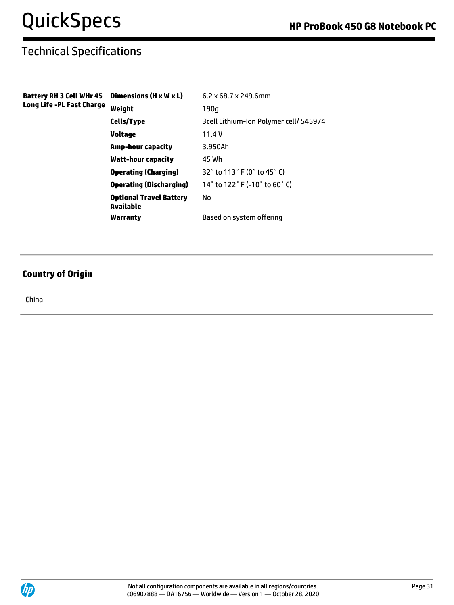| Battery RH 3 Cell WHr 45<br>Long Life -PL Fast Charge | Dimensions (H x W x L)                      | $6.2 \times 68.7 \times 249.6$ mm      |
|-------------------------------------------------------|---------------------------------------------|----------------------------------------|
|                                                       | Weight                                      | 190q                                   |
|                                                       | Cells/Type                                  | 3cell Lithium-Ion Polymer cell/ 545974 |
|                                                       | Voltage                                     | 11.4V                                  |
|                                                       | Amp-hour capacity                           | 3.950Ah                                |
|                                                       | Watt-hour capacity                          | 45 Wh                                  |
|                                                       | <b>Operating (Charging)</b>                 | 32° to 113° F (0° to 45° C)            |
|                                                       | <b>Operating (Discharging)</b>              | 14° to 122° F (-10° to 60° C)          |
|                                                       | <b>Optional Travel Battery</b><br>Available | No                                     |
|                                                       | Warranty                                    | Based on system offering               |

### **Country of Origin**

China

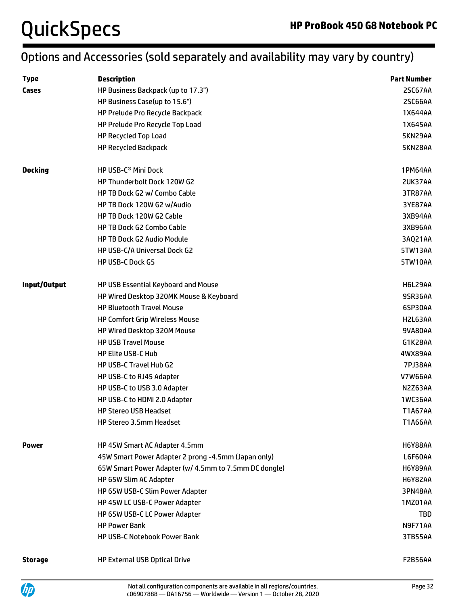# QuickSpecs **HP ProBook 450 G8 Notebook PC**

# Options and Accessories (sold separately and availability may vary by country)

| <b>Type</b>    | <b>Description</b>                                    | <b>Part Number</b> |
|----------------|-------------------------------------------------------|--------------------|
| Cases          | HP Business Backpack (up to 17.3")                    | 2SC67AA            |
|                | HP Business Case(up to 15.6")                         | 2SC66AA            |
|                | HP Prelude Pro Recycle Backpack                       | 1X644AA            |
|                | HP Prelude Pro Recycle Top Load                       | 1X645AA            |
|                | HP Recycled Top Load                                  | 5KN29AA            |
|                | <b>HP Recycled Backpack</b>                           | 5KN28AA            |
| <b>Docking</b> | HP USB-C <sup>®</sup> Mini Dock                       | 1PM64AA            |
|                | HP Thunderbolt Dock 120W G2                           | 2UK37AA            |
|                | HP TB Dock G2 w/ Combo Cable                          | 3TR87AA            |
|                | HP TB Dock 120W G2 w/Audio                            | 3YE87AA            |
|                | HP TB Dock 120W G2 Cable                              | 3XB94AA            |
|                | HP TB Dock G2 Combo Cable                             | 3XB96AA            |
|                | <b>HP TB Dock G2 Audio Module</b>                     | 3AQ21AA            |
|                | HP USB-C/A Universal Dock G2                          | 5TW13AA            |
|                | <b>HP USB-C Dock G5</b>                               | 5TW10AA            |
| Input/Output   | HP USB Essential Keyboard and Mouse                   | H6L29AA            |
|                | HP Wired Desktop 320MK Mouse & Keyboard               | 9SR36AA            |
|                | <b>HP Bluetooth Travel Mouse</b>                      | 6SP30AA            |
|                | <b>HP Comfort Grip Wireless Mouse</b>                 | H2L63AA            |
|                | HP Wired Desktop 320M Mouse                           | 9VA80AA            |
|                | <b>HP USB Travel Mouse</b>                            | G1K28AA            |
|                | <b>HP Elite USB-C Hub</b>                             | 4WX89AA            |
|                | HP USB-C Travel Hub G2                                | <b>7PJ38AA</b>     |
|                | HP USB-C to RJ45 Adapter                              | <b>V7W66AA</b>     |
|                | HP USB-C to USB 3.0 Adapter                           | N2Z63AA            |
|                | HP USB-C to HDMI 2.0 Adapter                          | 1WC36AA            |
|                | <b>HP Stereo USB Headset</b>                          | <b>T1A67AA</b>     |
|                | HP Stereo 3.5mm Headset                               | <b>T1A66AA</b>     |
| <b>Power</b>   | HP 45W Smart AC Adapter 4.5mm                         | <b>H6Y88AA</b>     |
|                | 45W Smart Power Adapter 2 prong -4.5mm (Japan only)   | L6F60AA            |
|                | 65W Smart Power Adapter (w/ 4.5mm to 7.5mm DC dongle) | <b>H6Y89AA</b>     |
|                | HP 65W Slim AC Adapter                                | <b>H6Y82AA</b>     |
|                | HP 65W USB-C Slim Power Adapter                       | 3PN48AA            |
|                | HP 45W LC USB-C Power Adapter                         | 1MZ01AA            |
|                | HP 65W USB-C LC Power Adapter                         | TBD                |
|                | <b>HP Power Bank</b>                                  | N9F71AA            |
|                | <b>HP USB-C Notebook Power Bank</b>                   | 3TB55AA            |
| <b>Storage</b> | HP External USB Optical Drive                         | F2B56AA            |

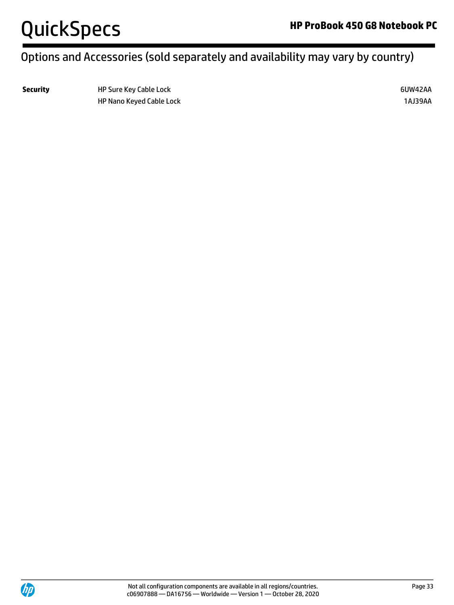

# Options and Accessories (sold separately and availability may vary by country)

**Security HP Sure Key Cable Lock 6UW42AA** HP Nano Keyed Cable Lock 1AJ39AA